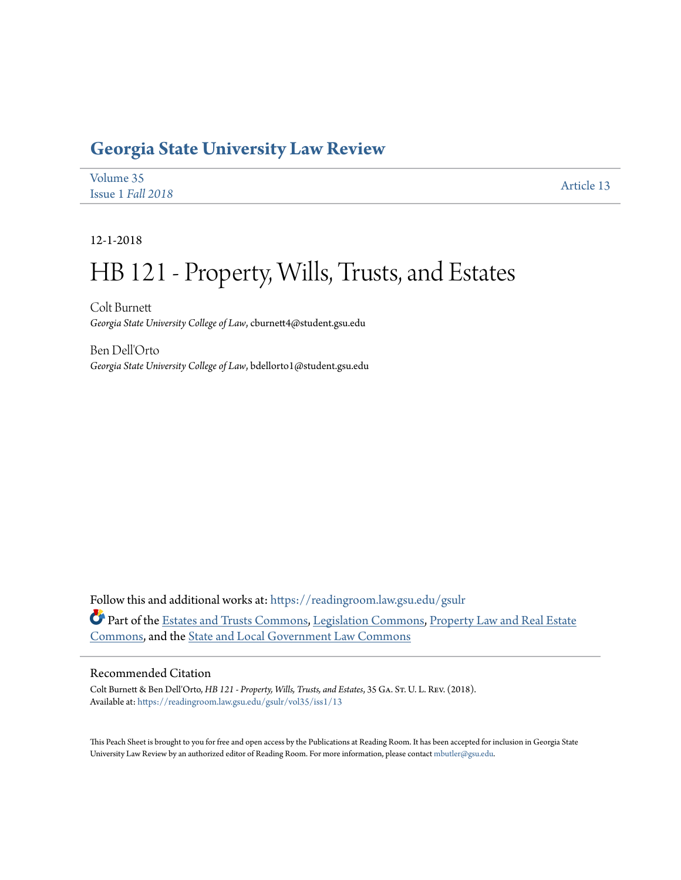## **[Georgia State University Law Review](https://readingroom.law.gsu.edu/gsulr?utm_source=readingroom.law.gsu.edu%2Fgsulr%2Fvol35%2Fiss1%2F13&utm_medium=PDF&utm_campaign=PDFCoverPages)**

| Volume 35         | Article 13 |
|-------------------|------------|
| Issue 1 Fall 2018 |            |

12-1-2018

# HB 121 - Property, Wills, Trusts, and Estates

Colt Burnett *Georgia State University College of Law*, cburnett4@student.gsu.edu

Ben Dell'Orto *Georgia State University College of Law*, bdellorto1@student.gsu.edu

Follow this and additional works at: [https://readingroom.law.gsu.edu/gsulr](https://readingroom.law.gsu.edu/gsulr?utm_source=readingroom.law.gsu.edu%2Fgsulr%2Fvol35%2Fiss1%2F13&utm_medium=PDF&utm_campaign=PDFCoverPages) Part of the [Estates and Trusts Commons,](http://network.bepress.com/hgg/discipline/906?utm_source=readingroom.law.gsu.edu%2Fgsulr%2Fvol35%2Fiss1%2F13&utm_medium=PDF&utm_campaign=PDFCoverPages) [Legislation Commons,](http://network.bepress.com/hgg/discipline/859?utm_source=readingroom.law.gsu.edu%2Fgsulr%2Fvol35%2Fiss1%2F13&utm_medium=PDF&utm_campaign=PDFCoverPages) [Property Law and Real Estate](http://network.bepress.com/hgg/discipline/897?utm_source=readingroom.law.gsu.edu%2Fgsulr%2Fvol35%2Fiss1%2F13&utm_medium=PDF&utm_campaign=PDFCoverPages) [Commons,](http://network.bepress.com/hgg/discipline/897?utm_source=readingroom.law.gsu.edu%2Fgsulr%2Fvol35%2Fiss1%2F13&utm_medium=PDF&utm_campaign=PDFCoverPages) and the [State and Local Government Law Commons](http://network.bepress.com/hgg/discipline/879?utm_source=readingroom.law.gsu.edu%2Fgsulr%2Fvol35%2Fiss1%2F13&utm_medium=PDF&utm_campaign=PDFCoverPages)

### Recommended Citation

Colt Burnett & Ben Dell'Orto, *HB 121 - Property, Wills, Trusts, and Estates*, 35 Ga. St. U. L. Rev. (2018). Available at: [https://readingroom.law.gsu.edu/gsulr/vol35/iss1/13](https://readingroom.law.gsu.edu/gsulr/vol35/iss1/13?utm_source=readingroom.law.gsu.edu%2Fgsulr%2Fvol35%2Fiss1%2F13&utm_medium=PDF&utm_campaign=PDFCoverPages)

This Peach Sheet is brought to you for free and open access by the Publications at Reading Room. It has been accepted for inclusion in Georgia State University Law Review by an authorized editor of Reading Room. For more information, please contact [mbutler@gsu.edu.](mailto:mbutler@gsu.edu)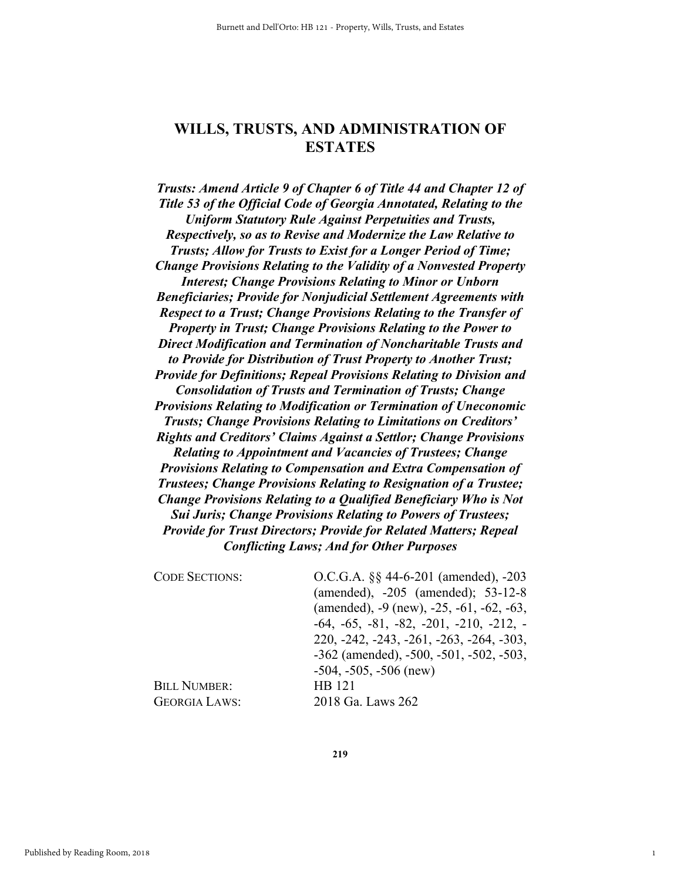### **WILLS, TRUSTS, AND ADMINISTRATION OF ESTATES**

*Trusts: Amend Article 9 of Chapter 6 of Title 44 and Chapter 12 of Title 53 of the Official Code of Georgia Annotated, Relating to the Uniform Statutory Rule Against Perpetuities and Trusts, Respectively, so as to Revise and Modernize the Law Relative to Trusts; Allow for Trusts to Exist for a Longer Period of Time; Change Provisions Relating to the Validity of a Nonvested Property Interest; Change Provisions Relating to Minor or Unborn Beneficiaries; Provide for Nonjudicial Settlement Agreements with Respect to a Trust; Change Provisions Relating to the Transfer of Property in Trust; Change Provisions Relating to the Power to Direct Modification and Termination of Noncharitable Trusts and to Provide for Distribution of Trust Property to Another Trust; Provide for Definitions; Repeal Provisions Relating to Division and Consolidation of Trusts and Termination of Trusts; Change Provisions Relating to Modification or Termination of Uneconomic Trusts; Change Provisions Relating to Limitations on Creditors' Rights and Creditors' Claims Against a Settlor; Change Provisions Relating to Appointment and Vacancies of Trustees; Change Provisions Relating to Compensation and Extra Compensation of Trustees; Change Provisions Relating to Resignation of a Trustee; Change Provisions Relating to a Qualified Beneficiary Who is Not Sui Juris; Change Provisions Relating to Powers of Trustees; Provide for Trust Directors; Provide for Related Matters; Repeal Conflicting Laws; And for Other Purposes* 

| O.C.G.A. §§ 44-6-201 (amended), -203                   |
|--------------------------------------------------------|
| (amended), -205 (amended); 53-12-8                     |
| (amended), $-9$ (new), $-25$ , $-61$ , $-62$ , $-63$ , |
| $-64, -65, -81, -82, -201, -210, -212, -$              |
| $220, -242, -243, -261, -263, -264, -303,$             |
| $-362$ (amended), $-500$ , $-501$ , $-502$ , $-503$ ,  |
| $-504, -505, -506$ (new)                               |
| HB 121                                                 |
| 2018 Ga. Laws 262                                      |
|                                                        |

**219**

1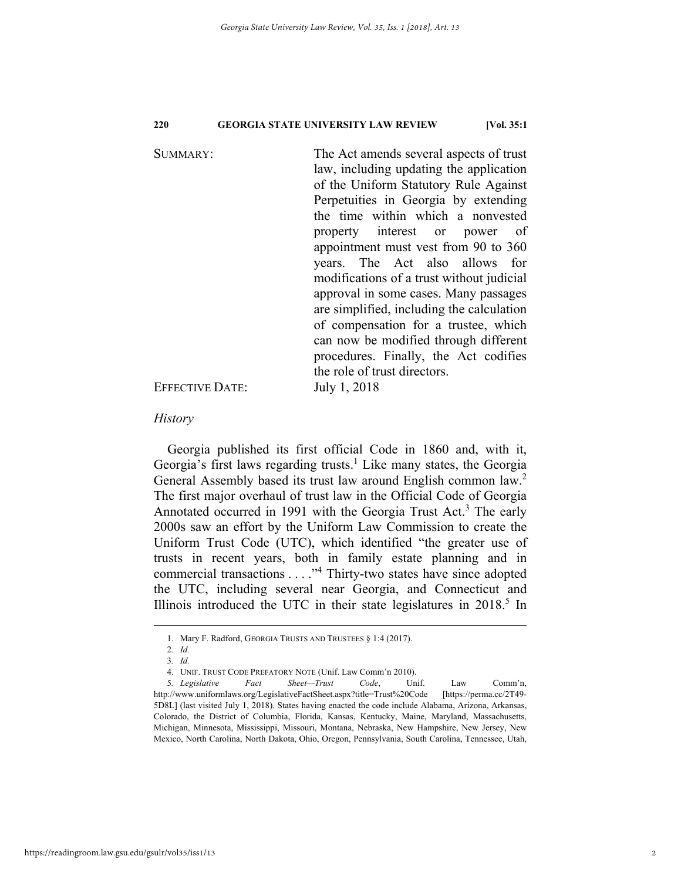SUMMARY: The Act amends several aspects of trust law, including updating the application of the Uniform Statutory Rule Against Perpetuities in Georgia by extending the time within which a nonvested property interest or power of appointment must vest from 90 to 360 years. The Act also allows for modifications of a trust without judicial approval in some cases. Many passages are simplified, including the calculation of compensation for a trustee, which can now be modified through different procedures. Finally, the Act codifies the role of trust directors. EFFECTIVE DATE: July 1, 2018

*History* 

Georgia published its first official Code in 1860 and, with it, Georgia's first laws regarding trusts.<sup>1</sup> Like many states, the Georgia General Assembly based its trust law around English common law.<sup>2</sup> The first major overhaul of trust law in the Official Code of Georgia Annotated occurred in 1991 with the Georgia Trust Act.<sup>3</sup> The early 2000s saw an effort by the Uniform Law Commission to create the Uniform Trust Code (UTC), which identified "the greater use of trusts in recent years, both in family estate planning and in commercial transactions . . . . "<sup>4</sup> Thirty-two states have since adopted the UTC, including several near Georgia, and Connecticut and Illinois introduced the UTC in their state legislatures in 2018.<sup>5</sup> In

 <sup>1.</sup> Mary F. Radford, GEORGIA TRUSTS AND TRUSTEES § 1:4 (2017).

<sup>2</sup>*. Id.* 

<sup>3</sup>*. Id.*

 <sup>4.</sup> UNIF. TRUST CODE PREFATORY NOTE (Unif. Law Comm'n 2010).

<sup>5</sup>*. Legislative Fact Sheet—Trust Code*, Unif. Law Comm'n, http://www.uniformlaws.org/LegislativeFactSheet.aspx?title=Trust%20Code [https://perma.cc/2T49- 5D8L] (last visited July 1, 2018). States having enacted the code include Alabama, Arizona, Arkansas, Colorado, the District of Columbia, Florida, Kansas, Kentucky, Maine, Maryland, Massachusetts, Michigan, Minnesota, Mississippi, Missouri, Montana, Nebraska, New Hampshire, New Jersey, New Mexico, North Carolina, North Dakota, Ohio, Oregon, Pennsylvania, South Carolina, Tennessee, Utah,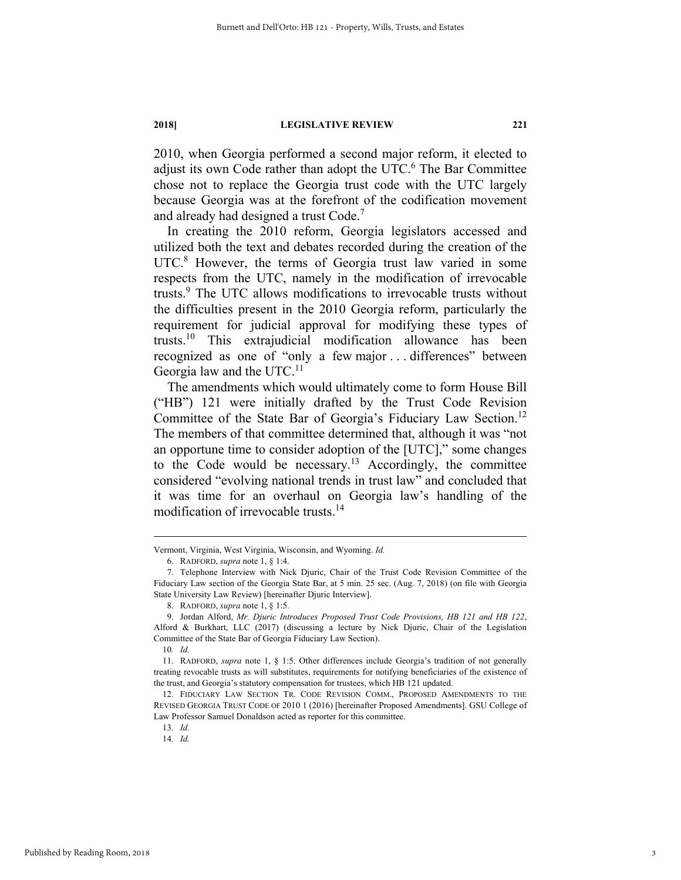2010, when Georgia performed a second major reform, it elected to adjust its own Code rather than adopt the UTC.<sup>6</sup> The Bar Committee chose not to replace the Georgia trust code with the UTC largely because Georgia was at the forefront of the codification movement and already had designed a trust Code.7

In creating the 2010 reform, Georgia legislators accessed and utilized both the text and debates recorded during the creation of the UTC.<sup>8</sup> However, the terms of Georgia trust law varied in some respects from the UTC, namely in the modification of irrevocable trusts.9 The UTC allows modifications to irrevocable trusts without the difficulties present in the 2010 Georgia reform, particularly the requirement for judicial approval for modifying these types of trusts.10 This extrajudicial modification allowance has been recognized as one of "only a few major . . . differences" between Georgia law and the UTC. $^{11}$ 

The amendments which would ultimately come to form House Bill ("HB") 121 were initially drafted by the Trust Code Revision Committee of the State Bar of Georgia's Fiduciary Law Section.<sup>12</sup> The members of that committee determined that, although it was "not an opportune time to consider adoption of the [UTC]," some changes to the Code would be necessary.<sup>13</sup> Accordingly, the committee considered "evolving national trends in trust law" and concluded that it was time for an overhaul on Georgia law's handling of the modification of irrevocable trusts.<sup>14</sup>

10*. Id.*

Vermont, Virginia, West Virginia, Wisconsin, and Wyoming. *Id.*

 <sup>6.</sup> RADFORD, *supra* note 1, § 1:4.

 <sup>7.</sup> Telephone Interview with Nick Djuric, Chair of the Trust Code Revision Committee of the Fiduciary Law section of the Georgia State Bar, at 5 min. 25 sec. (Aug. 7, 2018) (on file with Georgia State University Law Review) [hereinafter Djuric Interview].

 <sup>8.</sup> RADFORD, *supra* note 1, § 1:5.

 <sup>9.</sup> Jordan Alford, *Mr. Djuric Introduces Proposed Trust Code Provisions, HB 121 and HB 122*, Alford & Burkhart, LLC (2017) (discussing a lecture by Nick Djuric, Chair of the Legislation Committee of the State Bar of Georgia Fiduciary Law Section).

 <sup>11.</sup> RADFORD, *supra* note 1, § 1:5. Other differences include Georgia's tradition of not generally treating revocable trusts as will substitutes, requirements for notifying beneficiaries of the existence of the trust, and Georgia's statutory compensation for trustees, which HB 121 updated.

 <sup>12.</sup> FIDUCIARY LAW SECTION TR. CODE REVISION COMM., PROPOSED AMENDMENTS TO THE REVISED GEORGIA TRUST CODE OF 2010 1 (2016) [hereinafter Proposed Amendments]. GSU College of Law Professor Samuel Donaldson acted as reporter for this committee.

<sup>13</sup>*. Id.*

<sup>14</sup>*. Id.*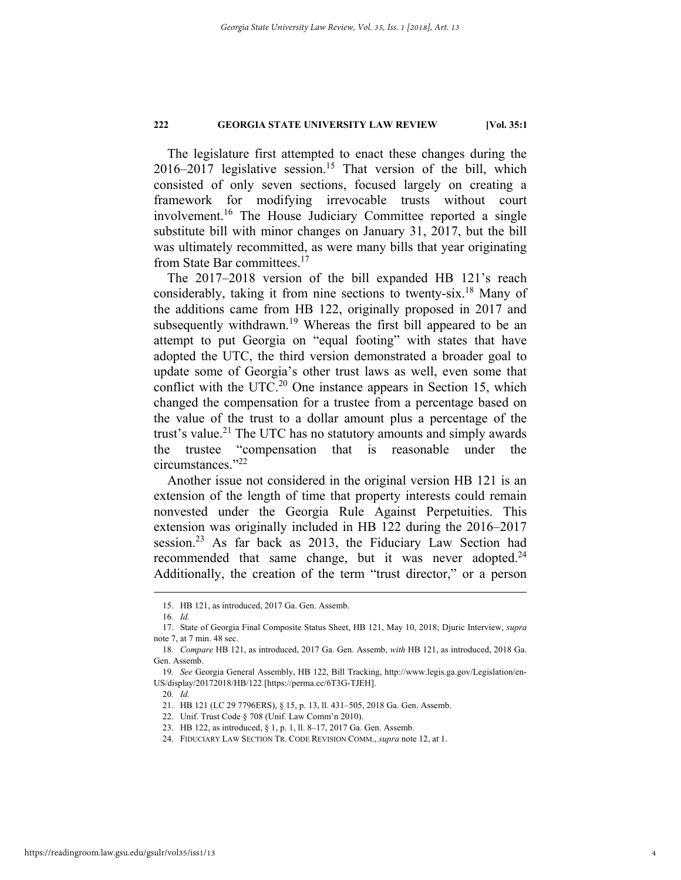The legislature first attempted to enact these changes during the  $2016-2017$  legislative session.<sup>15</sup> That version of the bill, which consisted of only seven sections, focused largely on creating a framework for modifying irrevocable trusts without court involvement.<sup>16</sup> The House Judiciary Committee reported a single substitute bill with minor changes on January 31, 2017, but the bill was ultimately recommitted, as were many bills that year originating from State Bar committees.17

The 2017–2018 version of the bill expanded HB 121's reach considerably, taking it from nine sections to twenty-six.18 Many of the additions came from HB 122, originally proposed in 2017 and subsequently withdrawn.<sup>19</sup> Whereas the first bill appeared to be an attempt to put Georgia on "equal footing" with states that have adopted the UTC, the third version demonstrated a broader goal to update some of Georgia's other trust laws as well, even some that conflict with the UTC.<sup>20</sup> One instance appears in Section 15, which changed the compensation for a trustee from a percentage based on the value of the trust to a dollar amount plus a percentage of the trust's value.<sup>21</sup> The UTC has no statutory amounts and simply awards the trustee "compensation that is reasonable under the circumstances."22

Another issue not considered in the original version HB 121 is an extension of the length of time that property interests could remain nonvested under the Georgia Rule Against Perpetuities. This extension was originally included in HB 122 during the 2016–2017 session.<sup>23</sup> As far back as 2013, the Fiduciary Law Section had recommended that same change, but it was never adopted.<sup>24</sup> Additionally, the creation of the term "trust director," or a person

20*. Id.* 

 <sup>15.</sup> HB 121, as introduced, 2017 Ga. Gen. Assemb.

<sup>16</sup>*. Id.*

 <sup>17.</sup> State of Georgia Final Composite Status Sheet, HB 121, May 10, 2018; Djuric Interview, *supra* note 7, at 7 min. 48 sec.

<sup>18</sup>*. Compare* HB 121, as introduced, 2017 Ga. Gen. Assemb, *with* HB 121, as introduced, 2018 Ga. Gen. Assemb.

<sup>19</sup>*. See* Georgia General Assembly, HB 122, Bill Tracking, http://www.legis.ga.gov/Legislation/en-US/display/20172018/HB/122 [https://perma.cc/6T3G-TJEH].

 <sup>21.</sup> HB 121 (LC 29 7796ERS), § 15, p. 13, ll. 431–505, 2018 Ga. Gen. Assemb.

 <sup>22.</sup> Unif. Trust Code § 708 (Unif. Law Comm'n 2010).

 <sup>23.</sup> HB 122, as introduced, § 1, p. 1, ll. 8–17, 2017 Ga. Gen. Assemb.

 <sup>24.</sup> FIDUCIARY LAW SECTION TR. CODE REVISION COMM., *supra* note 12, at 1.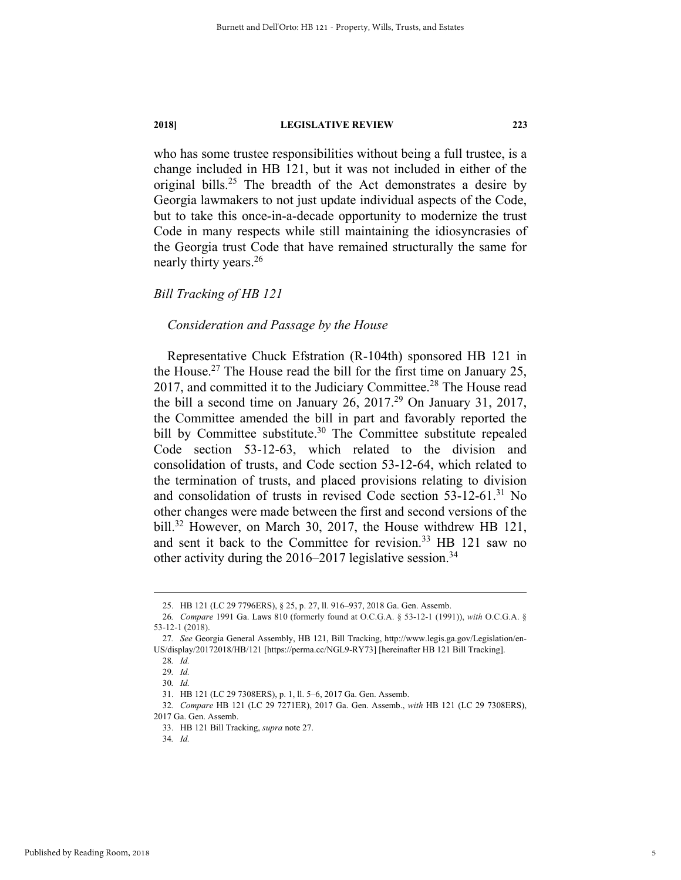who has some trustee responsibilities without being a full trustee, is a change included in HB 121, but it was not included in either of the original bills.<sup>25</sup> The breadth of the Act demonstrates a desire by Georgia lawmakers to not just update individual aspects of the Code, but to take this once-in-a-decade opportunity to modernize the trust Code in many respects while still maintaining the idiosyncrasies of the Georgia trust Code that have remained structurally the same for nearly thirty years.26

#### *Bill Tracking of HB 121*

#### *Consideration and Passage by the House*

Representative Chuck Efstration (R-104th) sponsored HB 121 in the House.<sup>27</sup> The House read the bill for the first time on January 25, 2017, and committed it to the Judiciary Committee.<sup>28</sup> The House read the bill a second time on January  $26$ ,  $2017<sup>29</sup>$  On January 31, 2017, the Committee amended the bill in part and favorably reported the bill by Committee substitute.<sup>30</sup> The Committee substitute repealed Code section 53-12-63, which related to the division and consolidation of trusts, and Code section 53-12-64, which related to the termination of trusts, and placed provisions relating to division and consolidation of trusts in revised Code section  $53-12-61$ .<sup>31</sup> No other changes were made between the first and second versions of the bill.<sup>32</sup> However, on March 30, 2017, the House withdrew HB 121, and sent it back to the Committee for revision.<sup>33</sup> HB 121 saw no other activity during the  $2016-2017$  legislative session.<sup>34</sup>

 <sup>25.</sup> HB 121 (LC 29 7796ERS), § 25, p. 27, ll. 916–937, 2018 Ga. Gen. Assemb.

<sup>26</sup>*. Compare* 1991 Ga. Laws 810 (formerly found at O.C.G.A. § 53-12-1 (1991)), *with* O.C.G.A. § 53-12-1 (2018).

<sup>27</sup>*. See* Georgia General Assembly, HB 121, Bill Tracking, http://www.legis.ga.gov/Legislation/en-US/display/20172018/HB/121 [https://perma.cc/NGL9-RY73] [hereinafter HB 121 Bill Tracking].

<sup>28</sup>*. Id.*

<sup>29</sup>*. Id.* 

<sup>30</sup>*. Id.* 

 <sup>31.</sup> HB 121 (LC 29 7308ERS), p. 1, ll. 5–6, 2017 Ga. Gen. Assemb.

<sup>32</sup>*. Compare* HB 121 (LC 29 7271ER), 2017 Ga. Gen. Assemb., *with* HB 121 (LC 29 7308ERS), 2017 Ga. Gen. Assemb.

 <sup>33.</sup> HB 121 Bill Tracking, *supra* note 27.

<sup>34</sup>*. Id.*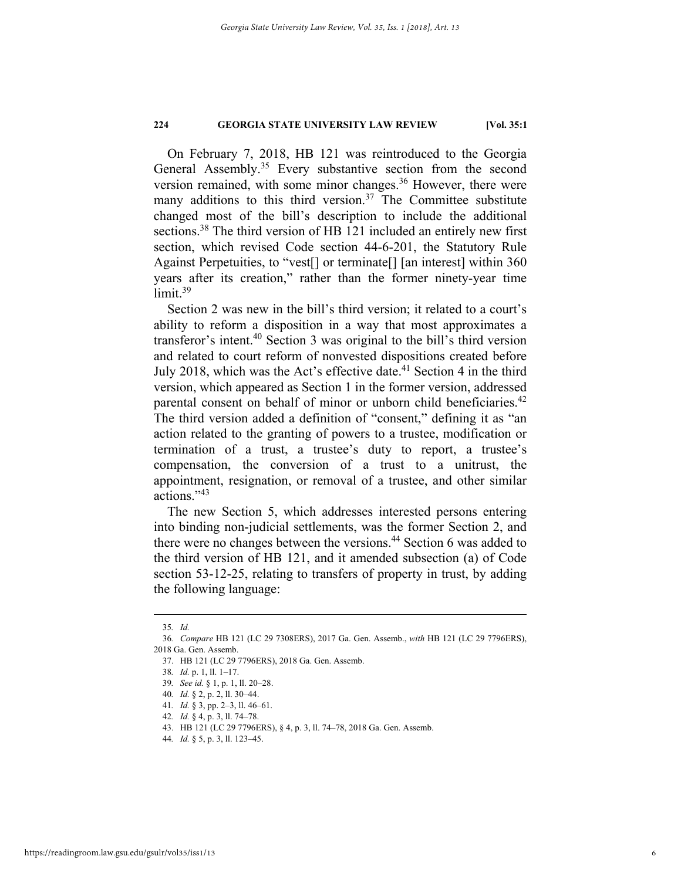On February 7, 2018, HB 121 was reintroduced to the Georgia General Assembly.<sup>35</sup> Every substantive section from the second version remained, with some minor changes.<sup>36</sup> However, there were many additions to this third version.<sup>37</sup> The Committee substitute changed most of the bill's description to include the additional sections.<sup>38</sup> The third version of HB 121 included an entirely new first section, which revised Code section 44-6-201, the Statutory Rule Against Perpetuities, to "vest[] or terminate[] [an interest] within 360 years after its creation," rather than the former ninety-year time  $limit.<sup>39</sup>$ 

Section 2 was new in the bill's third version; it related to a court's ability to reform a disposition in a way that most approximates a transferor's intent.40 Section 3 was original to the bill's third version and related to court reform of nonvested dispositions created before July 2018, which was the Act's effective date.<sup>41</sup> Section 4 in the third version, which appeared as Section 1 in the former version, addressed parental consent on behalf of minor or unborn child beneficiaries.<sup>42</sup> The third version added a definition of "consent," defining it as "an action related to the granting of powers to a trustee, modification or termination of a trust, a trustee's duty to report, a trustee's compensation, the conversion of a trust to a unitrust, the appointment, resignation, or removal of a trustee, and other similar actions."43

The new Section 5, which addresses interested persons entering into binding non-judicial settlements, was the former Section 2, and there were no changes between the versions.<sup>44</sup> Section 6 was added to the third version of HB 121, and it amended subsection (a) of Code section 53-12-25, relating to transfers of property in trust, by adding the following language:

 <sup>35</sup>*. Id.* 

<sup>36</sup>*. Compare* HB 121 (LC 29 7308ERS), 2017 Ga. Gen. Assemb., *with* HB 121 (LC 29 7796ERS), 2018 Ga. Gen. Assemb.

 <sup>37.</sup> HB 121 (LC 29 7796ERS), 2018 Ga. Gen. Assemb.

<sup>38</sup>*. Id.* p. 1, ll. 1–17.

<sup>39</sup>*. See id.* § 1, p. 1, ll. 20–28.

<sup>40</sup>*. Id.* § 2, p. 2, ll. 30–44.

<sup>41</sup>*. Id.* § 3, pp. 2–3, ll. 46–61.

<sup>42</sup>*. Id.* § 4, p. 3, ll. 74–78.

 <sup>43.</sup> HB 121 (LC 29 7796ERS), § 4, p. 3, ll. 74–78, 2018 Ga. Gen. Assemb.

<sup>44</sup>*. Id.* § 5, p. 3, ll. 123–45.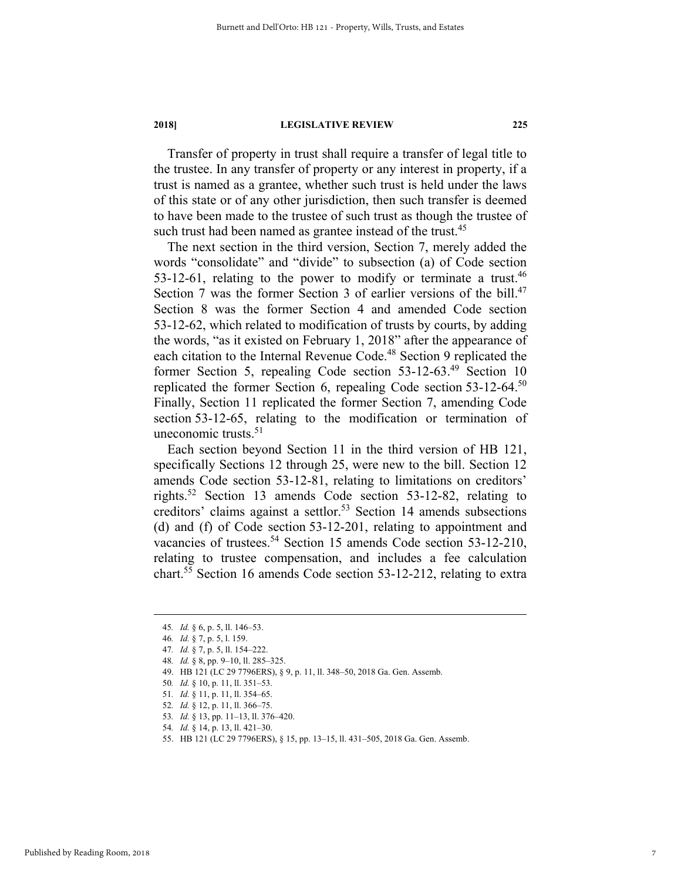Transfer of property in trust shall require a transfer of legal title to the trustee. In any transfer of property or any interest in property, if a trust is named as a grantee, whether such trust is held under the laws of this state or of any other jurisdiction, then such transfer is deemed to have been made to the trustee of such trust as though the trustee of such trust had been named as grantee instead of the trust.<sup>45</sup>

The next section in the third version, Section 7, merely added the words "consolidate" and "divide" to subsection (a) of Code section 53-12-61, relating to the power to modify or terminate a trust. $46$ Section 7 was the former Section 3 of earlier versions of the bill.<sup>47</sup> Section 8 was the former Section 4 and amended Code section 53-12-62, which related to modification of trusts by courts, by adding the words, "as it existed on February 1, 2018" after the appearance of each citation to the Internal Revenue Code.<sup>48</sup> Section 9 replicated the former Section 5, repealing Code section 53-12-63.49 Section 10 replicated the former Section 6, repealing Code section 53-12-64.50 Finally, Section 11 replicated the former Section 7, amending Code section 53-12-65, relating to the modification or termination of uneconomic trusts. $51$ 

Each section beyond Section 11 in the third version of HB 121, specifically Sections 12 through 25, were new to the bill. Section 12 amends Code section 53-12-81, relating to limitations on creditors' rights.52 Section 13 amends Code section 53-12-82, relating to creditors' claims against a settlor.<sup>53</sup> Section 14 amends subsections (d) and (f) of Code section 53-12-201, relating to appointment and vacancies of trustees.<sup>54</sup> Section 15 amends Code section 53-12-210, relating to trustee compensation, and includes a fee calculation chart.55 Section 16 amends Code section 53-12-212, relating to extra

 <sup>45</sup>*. Id.* § 6, p. 5, ll. 146–53.

<sup>46</sup>*. Id.* § 7, p. 5, l. 159.

<sup>47</sup>*. Id.* § 7, p. 5, ll. 154–222.

<sup>48</sup>*. Id.* § 8, pp. 9–10, ll. 285–325.

 <sup>49.</sup> HB 121 (LC 29 7796ERS), § 9, p. 11, ll. 348–50, 2018 Ga. Gen. Assemb.

<sup>50</sup>*. Id.* § 10, p. 11, ll. 351–53.

<sup>51</sup>*. Id.* § 11, p. 11, ll. 354–65.

<sup>52</sup>*. Id.* § 12, p. 11, ll. 366–75.

<sup>53</sup>*. Id.* § 13, pp. 11–13, ll. 376–420.

<sup>54</sup>*. Id.* § 14, p. 13, ll. 421–30.

 <sup>55.</sup> HB 121 (LC 29 7796ERS), § 15, pp. 13–15, ll. 431–505, 2018 Ga. Gen. Assemb.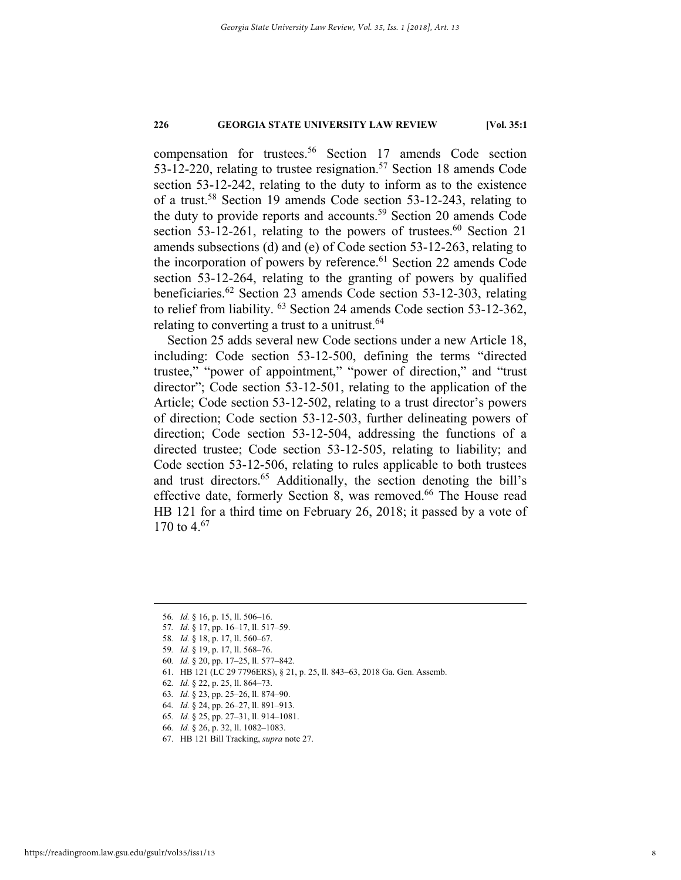compensation for trustees.56 Section 17 amends Code section 53-12-220, relating to trustee resignation.<sup>57</sup> Section 18 amends Code section 53-12-242, relating to the duty to inform as to the existence of a trust.58 Section 19 amends Code section 53-12-243, relating to the duty to provide reports and accounts.<sup>59</sup> Section 20 amends Code section  $53-12-261$ , relating to the powers of trustees.<sup>60</sup> Section 21 amends subsections (d) and (e) of Code section 53-12-263, relating to the incorporation of powers by reference.<sup>61</sup> Section 22 amends Code section 53-12-264, relating to the granting of powers by qualified beneficiaries.62 Section 23 amends Code section 53-12-303, relating to relief from liability. 63 Section 24 amends Code section 53-12-362, relating to converting a trust to a unitrust.<sup>64</sup>

Section 25 adds several new Code sections under a new Article 18, including: Code section 53-12-500, defining the terms "directed trustee," "power of appointment," "power of direction," and "trust director"; Code section 53-12-501, relating to the application of the Article; Code section 53-12-502, relating to a trust director's powers of direction; Code section 53-12-503, further delineating powers of direction; Code section 53-12-504, addressing the functions of a directed trustee; Code section 53-12-505, relating to liability; and Code section 53-12-506, relating to rules applicable to both trustees and trust directors.<sup>65</sup> Additionally, the section denoting the bill's effective date, formerly Section 8, was removed.<sup>66</sup> The House read HB 121 for a third time on February 26, 2018; it passed by a vote of 170 to 4.<sup>67</sup>

- 57*. Id*. § 17, pp. 16–17, ll. 517–59.
- 58*. Id.* § 18, p. 17, ll. 560–67.
- 59*. Id.* § 19, p. 17, ll. 568–76.
- 60*. Id.* § 20, pp. 17–25, ll. 577–842.
- 61. HB 121 (LC 29 7796ERS), § 21, p. 25, ll. 843–63, 2018 Ga. Gen. Assemb.
- 62*. Id.* § 22, p. 25, ll. 864–73.
- 63*. Id.* § 23, pp. 25–26, ll. 874–90.
- 64*. Id.* § 24, pp. 26–27, ll. 891–913.
- 65*. Id.* § 25, pp. 27–31, ll. 914–1081.
- 66*. Id.* § 26, p. 32, ll. 1082–1083.
- 67. HB 121 Bill Tracking, *supra* note 27.

 <sup>56</sup>*. Id.* § 16, p. 15, ll. 506–16.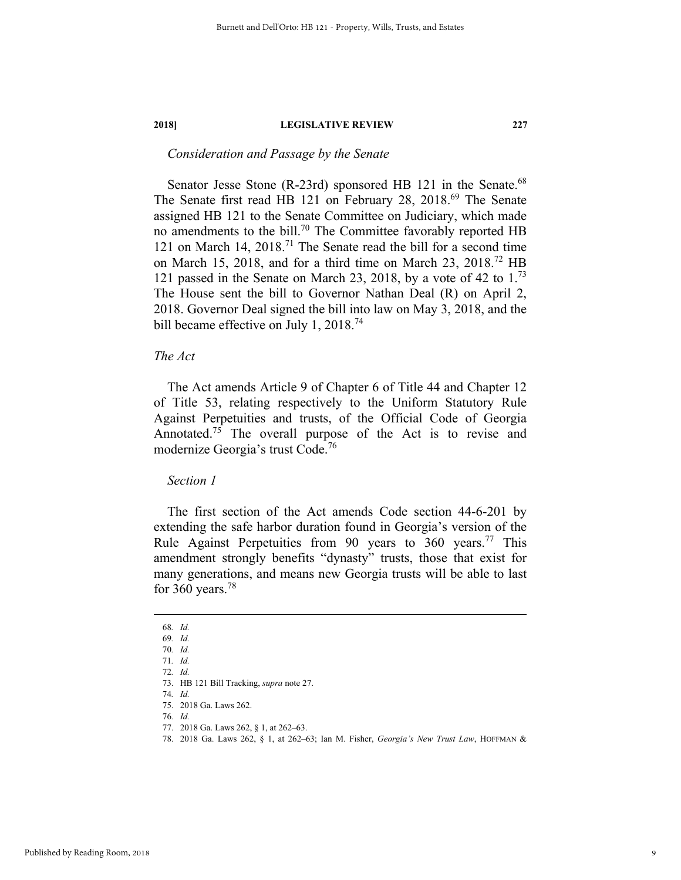#### *Consideration and Passage by the Senate*

Senator Jesse Stone (R-23rd) sponsored HB 121 in the Senate.<sup>68</sup> The Senate first read HB 121 on February 28, 2018.<sup>69</sup> The Senate assigned HB 121 to the Senate Committee on Judiciary, which made no amendments to the bill.<sup>70</sup> The Committee favorably reported HB 121 on March 14,  $2018$ .<sup>71</sup> The Senate read the bill for a second time on March 15, 2018, and for a third time on March 23, 2018.72 HB 121 passed in the Senate on March 23, 2018, by a vote of 42 to  $1<sup>73</sup>$ The House sent the bill to Governor Nathan Deal (R) on April 2, 2018. Governor Deal signed the bill into law on May 3, 2018, and the bill became effective on July 1, 2018.<sup>74</sup>

#### *The Act*

The Act amends Article 9 of Chapter 6 of Title 44 and Chapter 12 of Title 53, relating respectively to the Uniform Statutory Rule Against Perpetuities and trusts, of the Official Code of Georgia Annotated.<sup>75</sup> The overall purpose of the Act is to revise and modernize Georgia's trust Code.76

#### *Section 1*

The first section of the Act amends Code section 44-6-201 by extending the safe harbor duration found in Georgia's version of the Rule Against Perpetuities from 90 years to 360 years.<sup>77</sup> This amendment strongly benefits "dynasty" trusts, those that exist for many generations, and means new Georgia trusts will be able to last for 360 years.<sup>78</sup>

 <sup>68</sup>*. Id.* 

<sup>69</sup>*. Id.* 

<sup>70</sup>*. Id.*  71*. Id.* 

<sup>72</sup>*. Id.* 

 <sup>73.</sup> HB 121 Bill Tracking, *supra* note 27. 74*. Id.* 

 <sup>75. 2018</sup> Ga. Laws 262.

<sup>76</sup>*. Id.*

 <sup>77. 2018</sup> Ga. Laws 262, § 1, at 262–63.

 <sup>78. 2018</sup> Ga. Laws 262, § 1, at 262–63; Ian M. Fisher, *Georgia's New Trust Law*, HOFFMAN &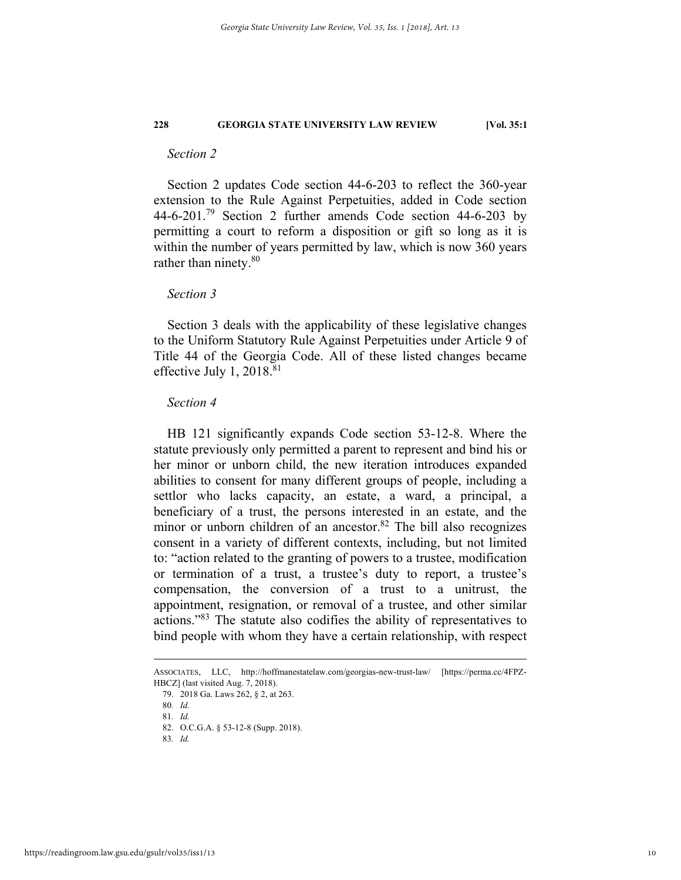#### *Section 2*

Section 2 updates Code section 44-6-203 to reflect the 360-year extension to the Rule Against Perpetuities, added in Code section 44-6-201.<sup>79</sup> Section 2 further amends Code section 44-6-203 by permitting a court to reform a disposition or gift so long as it is within the number of years permitted by law, which is now 360 years rather than ninety.<sup>80</sup>

#### *Section 3*

Section 3 deals with the applicability of these legislative changes to the Uniform Statutory Rule Against Perpetuities under Article 9 of Title 44 of the Georgia Code. All of these listed changes became effective July 1,  $2018.<sup>81</sup>$ 

#### *Section 4*

HB 121 significantly expands Code section 53-12-8. Where the statute previously only permitted a parent to represent and bind his or her minor or unborn child, the new iteration introduces expanded abilities to consent for many different groups of people, including a settlor who lacks capacity, an estate, a ward, a principal, a beneficiary of a trust, the persons interested in an estate, and the minor or unborn children of an ancestor.<sup>82</sup> The bill also recognizes consent in a variety of different contexts, including, but not limited to: "action related to the granting of powers to a trustee, modification or termination of a trust, a trustee's duty to report, a trustee's compensation, the conversion of a trust to a unitrust, the appointment, resignation, or removal of a trustee, and other similar actions."83 The statute also codifies the ability of representatives to bind people with whom they have a certain relationship, with respect

79. 2018 Ga. Laws 262, § 2, at 263.

81*. Id.*

ASSOCIATES, LLC, http://hoffmanestatelaw.com/georgias-new-trust-law/ [https://perma.cc/4FPZ-HBCZ] (last visited Aug. 7, 2018).

<sup>80</sup>*. Id.*

 <sup>82.</sup> O.C.G.A. § 53-12-8 (Supp. 2018).

<sup>83</sup>*. Id.*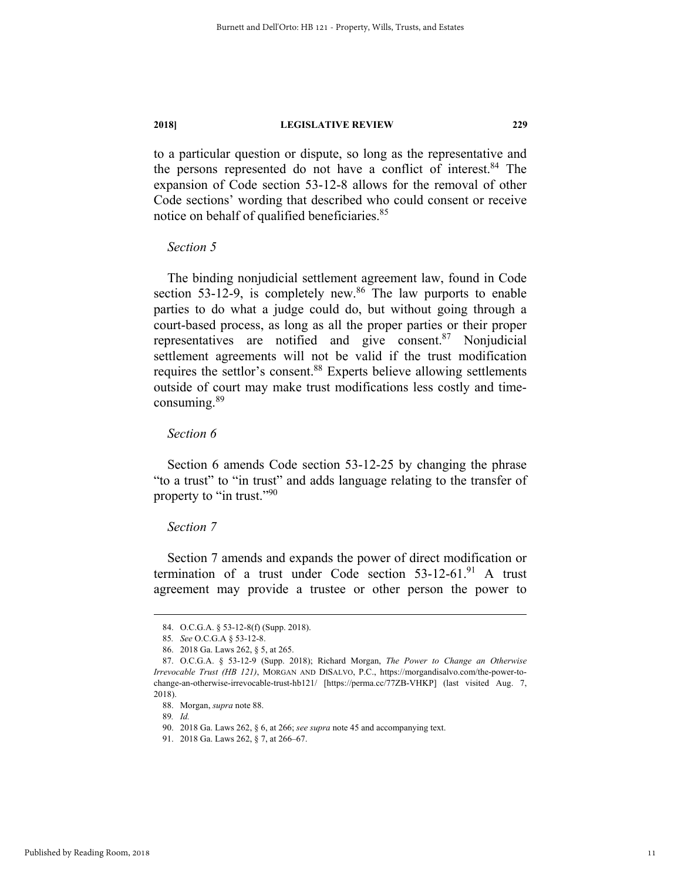to a particular question or dispute, so long as the representative and the persons represented do not have a conflict of interest.84 The expansion of Code section 53-12-8 allows for the removal of other Code sections' wording that described who could consent or receive notice on behalf of qualified beneficiaries.<sup>85</sup>

#### *Section 5*

The binding nonjudicial settlement agreement law, found in Code section  $53-12-9$ , is completely new.<sup>86</sup> The law purports to enable parties to do what a judge could do, but without going through a court-based process, as long as all the proper parties or their proper representatives are notified and give consent.87 Nonjudicial settlement agreements will not be valid if the trust modification requires the settlor's consent.<sup>88</sup> Experts believe allowing settlements outside of court may make trust modifications less costly and timeconsuming.<sup>89</sup>

#### *Section 6*

Section 6 amends Code section 53-12-25 by changing the phrase "to a trust" to "in trust" and adds language relating to the transfer of property to "in trust."<sup>90</sup>

#### *Section 7*

Section 7 amends and expands the power of direct modification or termination of a trust under Code section  $53-12-61$ .<sup>91</sup> A trust agreement may provide a trustee or other person the power to

89*. Id.* 

 <sup>84.</sup> O.C.G.A. § 53-12-8(f) (Supp. 2018).

<sup>85</sup>*. See* O.C.G.A § 53-12-8.

 <sup>86. 2018</sup> Ga. Laws 262, § 5, at 265.

 <sup>87.</sup> O.C.G.A. § 53-12-9 (Supp. 2018); Richard Morgan, *The Power to Change an Otherwise Irrevocable Trust (HB 121)*, MORGAN AND DISALVO, P.C., https://morgandisalvo.com/the-power-tochange-an-otherwise-irrevocable-trust-hb121/ [https://perma.cc/77ZB-VHKP] (last visited Aug. 7, 2018).

 <sup>88.</sup> Morgan, *supra* note 88.

 <sup>90. 2018</sup> Ga. Laws 262, § 6, at 266; *see supra* note 45 and accompanying text.

 <sup>91. 2018</sup> Ga. Laws 262, § 7, at 266–67.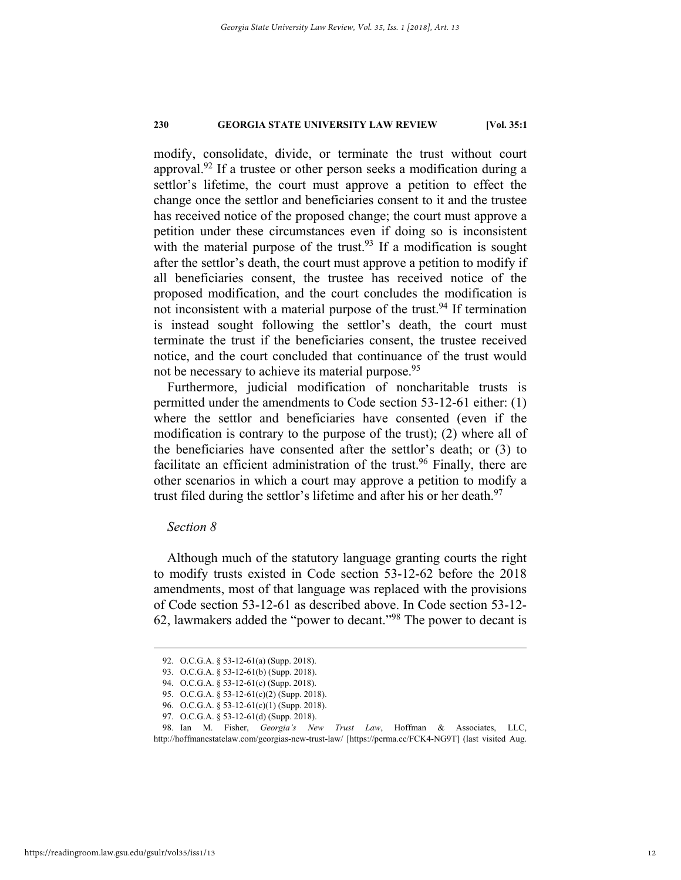modify, consolidate, divide, or terminate the trust without court approval.<sup>92</sup> If a trustee or other person seeks a modification during a settlor's lifetime, the court must approve a petition to effect the change once the settlor and beneficiaries consent to it and the trustee has received notice of the proposed change; the court must approve a petition under these circumstances even if doing so is inconsistent with the material purpose of the trust.<sup>93</sup> If a modification is sought after the settlor's death, the court must approve a petition to modify if all beneficiaries consent, the trustee has received notice of the proposed modification, and the court concludes the modification is not inconsistent with a material purpose of the trust.<sup>94</sup> If termination is instead sought following the settlor's death, the court must terminate the trust if the beneficiaries consent, the trustee received notice, and the court concluded that continuance of the trust would not be necessary to achieve its material purpose.<sup>95</sup>

Furthermore, judicial modification of noncharitable trusts is permitted under the amendments to Code section 53-12-61 either: (1) where the settlor and beneficiaries have consented (even if the modification is contrary to the purpose of the trust); (2) where all of the beneficiaries have consented after the settlor's death; or (3) to facilitate an efficient administration of the trust.<sup>96</sup> Finally, there are other scenarios in which a court may approve a petition to modify a trust filed during the settlor's lifetime and after his or her death.<sup>97</sup>

### *Section 8*

Although much of the statutory language granting courts the right to modify trusts existed in Code section 53-12-62 before the 2018 amendments, most of that language was replaced with the provisions of Code section 53-12-61 as described above. In Code section 53-12- 62, lawmakers added the "power to decant."98 The power to decant is

 <sup>92.</sup> O.C.G.A. § 53-12-61(a) (Supp. 2018).

<sup>93.</sup> O.C.G.A. § 53-12-61(b) (Supp. 2018).

 <sup>94.</sup> O.C.G.A. § 53-12-61(c) (Supp. 2018).

<sup>95.</sup> O.C.G.A. § 53-12-61(c)(2) (Supp. 2018).

<sup>96.</sup> O.C.G.A. § 53-12-61(c)(1) (Supp. 2018).

<sup>97.</sup> O.C.G.A. § 53-12-61(d) (Supp. 2018).

 <sup>98.</sup> Ian M. Fisher, *Georgia's New Trust Law*, Hoffman & Associates, LLC, http://hoffmanestatelaw.com/georgias-new-trust-law/ [https://perma.cc/FCK4-NG9T] (last visited Aug.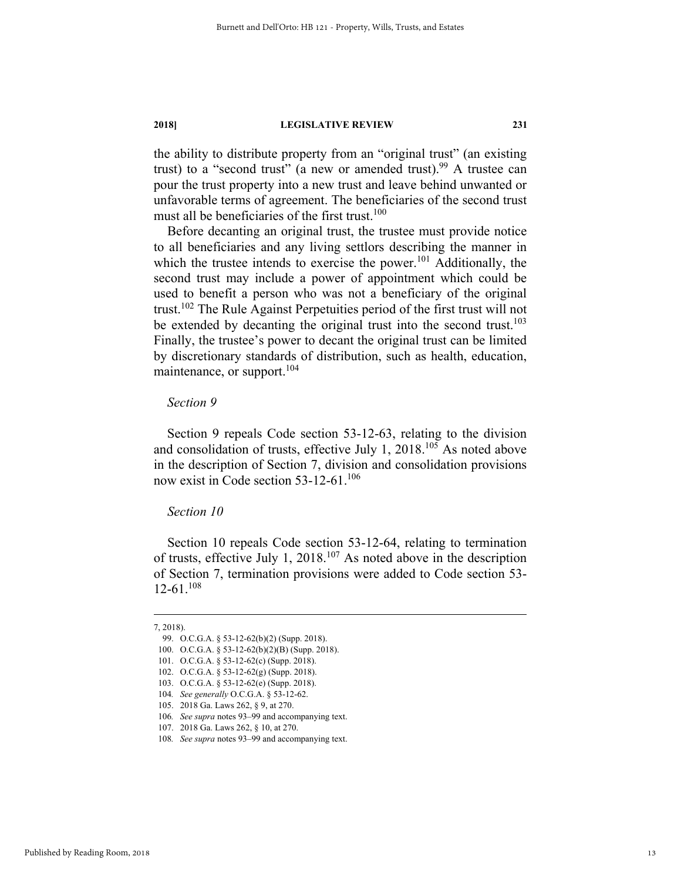the ability to distribute property from an "original trust" (an existing trust) to a "second trust" (a new or amended trust).<sup>99</sup> A trustee can pour the trust property into a new trust and leave behind unwanted or unfavorable terms of agreement. The beneficiaries of the second trust must all be beneficiaries of the first trust. $100$ 

Before decanting an original trust, the trustee must provide notice to all beneficiaries and any living settlors describing the manner in which the trustee intends to exercise the power.<sup>101</sup> Additionally, the second trust may include a power of appointment which could be used to benefit a person who was not a beneficiary of the original trust.102 The Rule Against Perpetuities period of the first trust will not be extended by decanting the original trust into the second trust.<sup>103</sup> Finally, the trustee's power to decant the original trust can be limited by discretionary standards of distribution, such as health, education, maintenance, or support.<sup>104</sup>

#### *Section 9*

Section 9 repeals Code section 53-12-63, relating to the division and consolidation of trusts, effective July 1, 2018.<sup>105</sup> As noted above in the description of Section 7, division and consolidation provisions now exist in Code section 53-12-61.<sup>106</sup>

#### *Section 10*

Section 10 repeals Code section 53-12-64, relating to termination of trusts, effective July 1, 2018.107 As noted above in the description of Section 7, termination provisions were added to Code section 53-  $12-61^{108}$ 

 <sup>7, 2018).</sup> 

 <sup>99.</sup> O.C.G.A. § 53-12-62(b)(2) (Supp. 2018).

 <sup>100.</sup> O.C.G.A. § 53-12-62(b)(2)(B) (Supp. 2018).

 <sup>101.</sup> O.C.G.A. § 53-12-62(c) (Supp. 2018).

 <sup>102.</sup> O.C.G.A. § 53-12-62(g) (Supp. 2018).

 <sup>103.</sup> O.C.G.A. § 53-12-62(e) (Supp. 2018).

<sup>104</sup>*. See generally* O.C.G.A. § 53-12-62.

 <sup>105. 2018</sup> Ga. Laws 262, § 9, at 270.

<sup>106</sup>*. See supra* notes 93–99 and accompanying text.

 <sup>107. 2018</sup> Ga. Laws 262, § 10, at 270.

<sup>108</sup>*. See supra* notes 93–99 and accompanying text.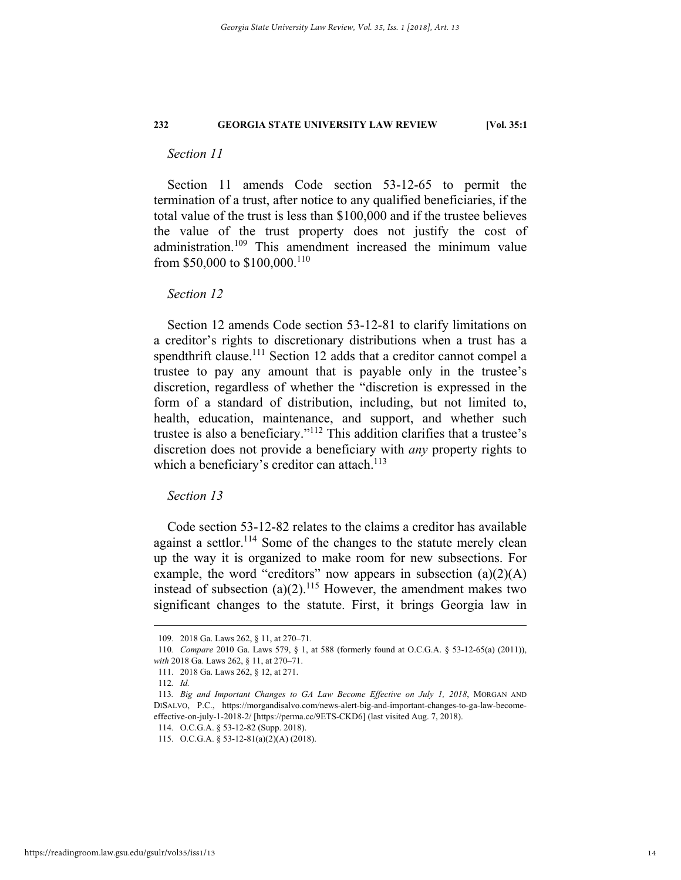#### *Section 11*

Section 11 amends Code section 53-12-65 to permit the termination of a trust, after notice to any qualified beneficiaries, if the total value of the trust is less than \$100,000 and if the trustee believes the value of the trust property does not justify the cost of administration.109 This amendment increased the minimum value from \$50,000 to \$100,000.110

#### *Section 12*

Section 12 amends Code section 53-12-81 to clarify limitations on a creditor's rights to discretionary distributions when a trust has a spendthrift clause.<sup>111</sup> Section 12 adds that a creditor cannot compel a trustee to pay any amount that is payable only in the trustee's discretion, regardless of whether the "discretion is expressed in the form of a standard of distribution, including, but not limited to, health, education, maintenance, and support, and whether such trustee is also a beneficiary."112 This addition clarifies that a trustee's discretion does not provide a beneficiary with *any* property rights to which a beneficiary's creditor can attach.<sup>113</sup>

#### *Section 13*

Code section 53-12-82 relates to the claims a creditor has available against a settlor.<sup>114</sup> Some of the changes to the statute merely clean up the way it is organized to make room for new subsections. For example, the word "creditors" now appears in subsection  $(a)(2)(A)$ instead of subsection  $(a)(2)$ <sup>115</sup> However, the amendment makes two significant changes to the statute. First, it brings Georgia law in

 <sup>109. 2018</sup> Ga. Laws 262, § 11, at 270–71.

<sup>110</sup>*. Compare* 2010 Ga. Laws 579, § 1, at 588 (formerly found at O.C.G.A. § 53-12-65(a) (2011)), *with* 2018 Ga. Laws 262, § 11, at 270–71.

 <sup>111. 2018</sup> Ga. Laws 262, § 12, at 271.

<sup>112</sup>*. Id.*

<sup>113</sup>*. Big and Important Changes to GA Law Become Effective on July 1, 2018*, MORGAN AND DISALVO, P.C., https://morgandisalvo.com/news-alert-big-and-important-changes-to-ga-law-becomeeffective-on-july-1-2018-2/ [https://perma.cc/9ETS-CKD6] (last visited Aug. 7, 2018).

 <sup>114.</sup> O.C.G.A. § 53-12-82 (Supp. 2018).

 <sup>115.</sup> O.C.G.A. § 53-12-81(a)(2)(A) (2018).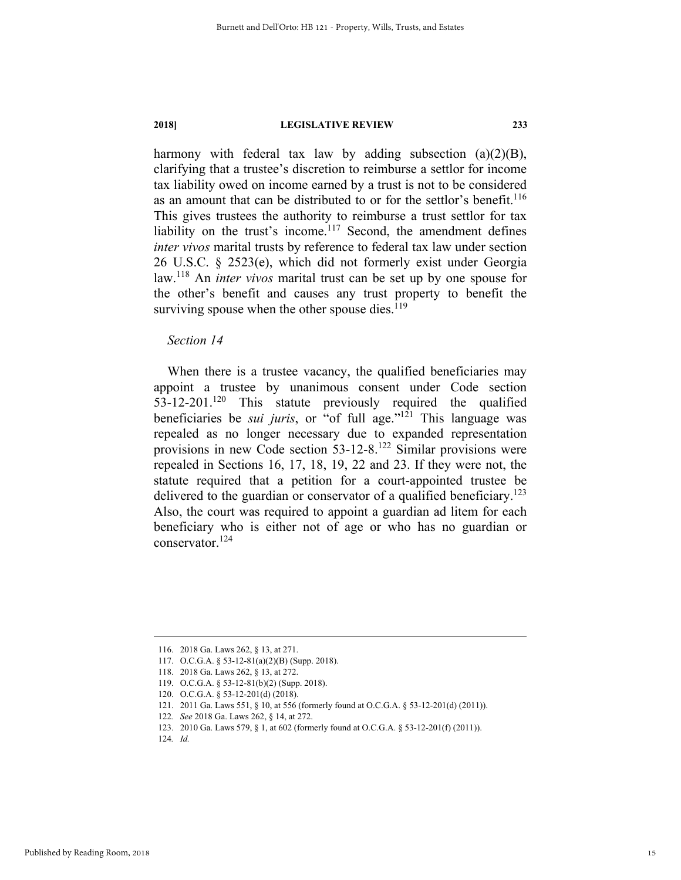harmony with federal tax law by adding subsection  $(a)(2)(B)$ , clarifying that a trustee's discretion to reimburse a settlor for income tax liability owed on income earned by a trust is not to be considered as an amount that can be distributed to or for the settlor's benefit.<sup>116</sup> This gives trustees the authority to reimburse a trust settlor for tax liability on the trust's income.<sup>117</sup> Second, the amendment defines *inter vivos* marital trusts by reference to federal tax law under section 26 U.S.C. § 2523(e), which did not formerly exist under Georgia law.118 An *inter vivos* marital trust can be set up by one spouse for the other's benefit and causes any trust property to benefit the surviving spouse when the other spouse dies. $119$ 

#### *Section 14*

When there is a trustee vacancy, the qualified beneficiaries may appoint a trustee by unanimous consent under Code section  $53-12-201$ <sup>120</sup> This statute previously required the qualified beneficiaries be *sui juris*, or "of full age."121 This language was repealed as no longer necessary due to expanded representation provisions in new Code section 53-12-8.122 Similar provisions were repealed in Sections 16, 17, 18, 19, 22 and 23. If they were not, the statute required that a petition for a court-appointed trustee be delivered to the guardian or conservator of a qualified beneficiary.<sup>123</sup> Also, the court was required to appoint a guardian ad litem for each beneficiary who is either not of age or who has no guardian or conservator.124

 <sup>116. 2018</sup> Ga. Laws 262, § 13, at 271.

 <sup>117.</sup> O.C.G.A. § 53-12-81(a)(2)(B) (Supp. 2018).

 <sup>118. 2018</sup> Ga. Laws 262, § 13, at 272.

 <sup>119.</sup> O.C.G.A. § 53-12-81(b)(2) (Supp. 2018).

 <sup>120.</sup> O.C.G.A. § 53-12-201(d) (2018).

 <sup>121. 2011</sup> Ga. Laws 551, § 10, at 556 (formerly found at O.C.G.A. § 53-12-201(d) (2011)).

<sup>122</sup>*. See* 2018 Ga. Laws 262, § 14, at 272.

 <sup>123. 2010</sup> Ga. Laws 579, § 1, at 602 (formerly found at O.C.G.A. § 53-12-201(f) (2011)).

<sup>124</sup>*. Id.*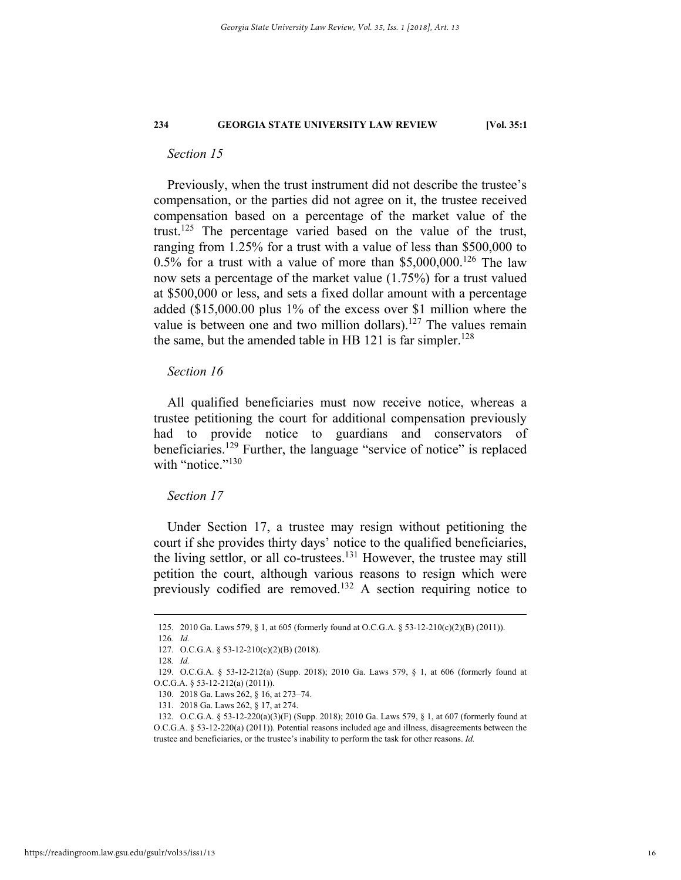#### *Section 15*

Previously, when the trust instrument did not describe the trustee's compensation, or the parties did not agree on it, the trustee received compensation based on a percentage of the market value of the trust.<sup>125</sup> The percentage varied based on the value of the trust, ranging from 1.25% for a trust with a value of less than \$500,000 to  $0.5\%$  for a trust with a value of more than \$5,000,000.<sup>126</sup> The law now sets a percentage of the market value (1.75%) for a trust valued at \$500,000 or less, and sets a fixed dollar amount with a percentage added (\$15,000.00 plus 1% of the excess over \$1 million where the value is between one and two million dollars).<sup>127</sup> The values remain the same, but the amended table in HB 121 is far simpler.<sup>128</sup>

#### *Section 16*

All qualified beneficiaries must now receive notice, whereas a trustee petitioning the court for additional compensation previously had to provide notice to guardians and conservators of beneficiaries.129 Further, the language "service of notice" is replaced with "notice."<sup>130</sup>

#### *Section 17*

Under Section 17, a trustee may resign without petitioning the court if she provides thirty days' notice to the qualified beneficiaries, the living settlor, or all co-trustees.<sup>131</sup> However, the trustee may still petition the court, although various reasons to resign which were previously codified are removed.132 A section requiring notice to

 <sup>125. 2010</sup> Ga. Laws 579, § 1, at 605 (formerly found at O.C.G.A. § 53-12-210(c)(2)(B) (2011)).

<sup>126</sup>*. Id.*

 <sup>127.</sup> O.C.G.A. § 53-12-210(c)(2)(B) (2018).

<sup>128</sup>*. Id.*

 <sup>129.</sup> O.C.G.A. § 53-12-212(a) (Supp. 2018); 2010 Ga. Laws 579, § 1, at 606 (formerly found at O.C.G.A. § 53-12-212(a) (2011)).

 <sup>130. 2018</sup> Ga. Laws 262, § 16, at 273–74.

 <sup>131. 2018</sup> Ga. Laws 262, § 17, at 274.

 <sup>132.</sup> O.C.G.A. § 53-12-220(a)(3)(F) (Supp. 2018); 2010 Ga. Laws 579, § 1, at 607 (formerly found at O.C.G.A. § 53-12-220(a) (2011)). Potential reasons included age and illness, disagreements between the trustee and beneficiaries, or the trustee's inability to perform the task for other reasons. *Id.*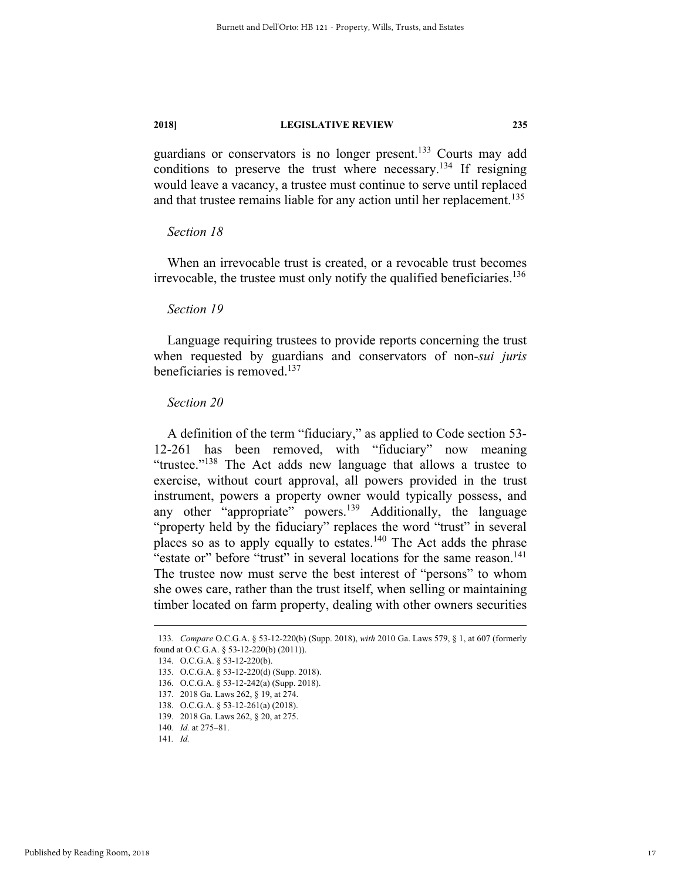guardians or conservators is no longer present.<sup>133</sup> Courts may add conditions to preserve the trust where necessary.<sup>134</sup> If resigning would leave a vacancy, a trustee must continue to serve until replaced and that trustee remains liable for any action until her replacement.<sup>135</sup>

#### *Section 18*

When an irrevocable trust is created, or a revocable trust becomes irrevocable, the trustee must only notify the qualified beneficiaries.<sup>136</sup>

#### *Section 19*

Language requiring trustees to provide reports concerning the trust when requested by guardians and conservators of non-*sui juris* beneficiaries is removed.137

#### *Section 20*

A definition of the term "fiduciary," as applied to Code section 53- 12-261 has been removed, with "fiduciary" now meaning "trustee."138 The Act adds new language that allows a trustee to exercise, without court approval, all powers provided in the trust instrument, powers a property owner would typically possess, and any other "appropriate" powers.<sup>139</sup> Additionally, the language "property held by the fiduciary" replaces the word "trust" in several places so as to apply equally to estates.<sup>140</sup> The Act adds the phrase "estate or" before "trust" in several locations for the same reason.<sup>141</sup> The trustee now must serve the best interest of "persons" to whom she owes care, rather than the trust itself, when selling or maintaining timber located on farm property, dealing with other owners securities

 <sup>133</sup>*. Compare* O.C.G.A. § 53-12-220(b) (Supp. 2018), *with* 2010 Ga. Laws 579, § 1, at 607 (formerly found at O.C.G.A. § 53-12-220(b) (2011)).

 <sup>134.</sup> O.C.G.A. § 53-12-220(b).

 <sup>135.</sup> O.C.G.A. § 53-12-220(d) (Supp. 2018).

 <sup>136.</sup> O.C.G.A. § 53-12-242(a) (Supp. 2018).

 <sup>137. 2018</sup> Ga. Laws 262, § 19, at 274.

 <sup>138.</sup> O.C.G.A. § 53-12-261(a) (2018).

 <sup>139. 2018</sup> Ga. Laws 262, § 20, at 275.

<sup>140</sup>*. Id.* at 275–81.

<sup>141</sup>*. Id.*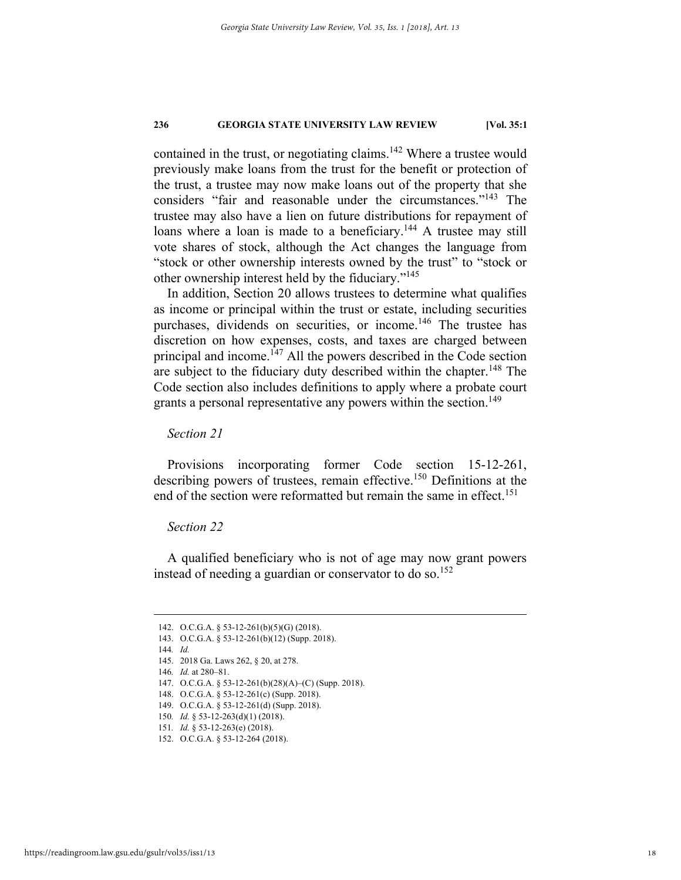contained in the trust, or negotiating claims.<sup>142</sup> Where a trustee would previously make loans from the trust for the benefit or protection of the trust, a trustee may now make loans out of the property that she considers "fair and reasonable under the circumstances."143 The trustee may also have a lien on future distributions for repayment of loans where a loan is made to a beneficiary.<sup>144</sup> A trustee may still vote shares of stock, although the Act changes the language from "stock or other ownership interests owned by the trust" to "stock or other ownership interest held by the fiduciary."145

In addition, Section 20 allows trustees to determine what qualifies as income or principal within the trust or estate, including securities purchases, dividends on securities, or income.<sup>146</sup> The trustee has discretion on how expenses, costs, and taxes are charged between principal and income.<sup> $147$ </sup> All the powers described in the Code section are subject to the fiduciary duty described within the chapter.<sup>148</sup> The Code section also includes definitions to apply where a probate court grants a personal representative any powers within the section.<sup>149</sup>

*Section 21* 

Provisions incorporating former Code section 15-12-261, describing powers of trustees, remain effective.<sup>150</sup> Definitions at the end of the section were reformatted but remain the same in effect.<sup>151</sup>

#### *Section 22*

A qualified beneficiary who is not of age may now grant powers instead of needing a guardian or conservator to do so.<sup>152</sup>

 <sup>142.</sup> O.C.G.A. § 53-12-261(b)(5)(G) (2018).

 <sup>143.</sup> O.C.G.A. § 53-12-261(b)(12) (Supp. 2018).

<sup>144</sup>*. Id.*

 <sup>145. 2018</sup> Ga. Laws 262, § 20, at 278.

<sup>146</sup>*. Id.* at 280–81.

 <sup>147.</sup> O.C.G.A. § 53-12-261(b)(28)(A)–(C) (Supp. 2018).

 <sup>148.</sup> O.C.G.A. § 53-12-261(c) (Supp. 2018).

 <sup>149.</sup> O.C.G.A. § 53-12-261(d) (Supp. 2018).

<sup>150</sup>*. Id.* § 53-12-263(d)(1) (2018).

<sup>151</sup>*. Id.* § 53-12-263(e) (2018).

 <sup>152.</sup> O.C.G.A. § 53-12-264 (2018).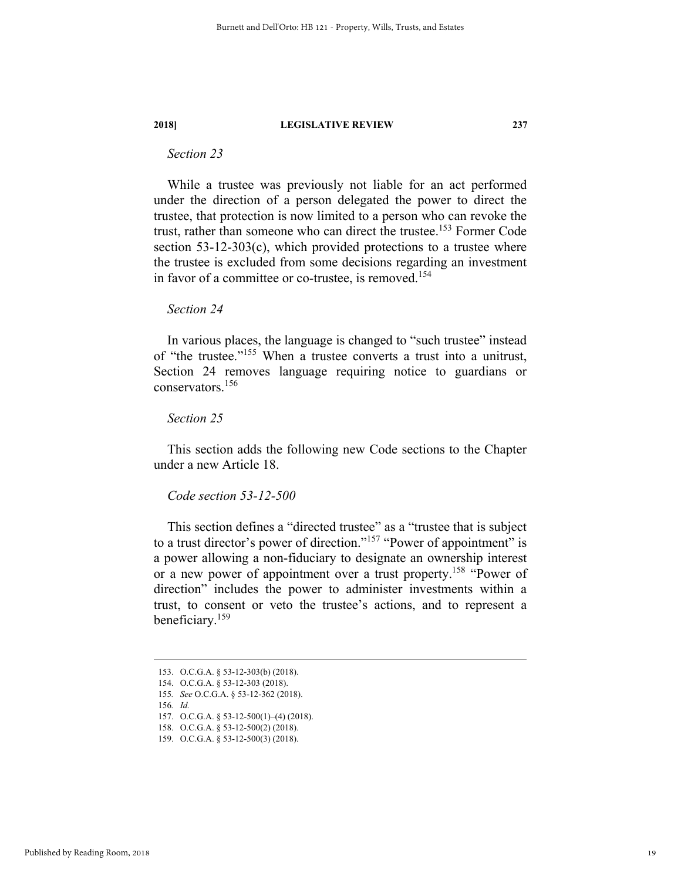### *Section 23*

While a trustee was previously not liable for an act performed under the direction of a person delegated the power to direct the trustee, that protection is now limited to a person who can revoke the trust, rather than someone who can direct the trustee.<sup>153</sup> Former Code section  $53-12-303(c)$ , which provided protections to a trustee where the trustee is excluded from some decisions regarding an investment in favor of a committee or co-trustee, is removed.<sup>154</sup>

#### *Section 24*

In various places, the language is changed to "such trustee" instead of "the trustee."<sup>155</sup> When a trustee converts a trust into a unitrust, Section 24 removes language requiring notice to guardians or conservators.156

#### *Section 25*

This section adds the following new Code sections to the Chapter under a new Article 18.

#### *Code section 53-12-500*

This section defines a "directed trustee" as a "trustee that is subject to a trust director's power of direction."<sup>157</sup> "Power of appointment" is a power allowing a non-fiduciary to designate an ownership interest or a new power of appointment over a trust property.<sup>158</sup> "Power of direction" includes the power to administer investments within a trust, to consent or veto the trustee's actions, and to represent a beneficiary.159

 <sup>153.</sup> O.C.G.A. § 53-12-303(b) (2018).

 <sup>154.</sup> O.C.G.A. § 53-12-303 (2018).

<sup>155</sup>*. See* O.C.G.A. § 53-12-362 (2018).

<sup>156</sup>*. Id.*

 <sup>157.</sup> O.C.G.A. § 53-12-500(1)–(4) (2018).

 <sup>158.</sup> O.C.G.A. § 53-12-500(2) (2018).

 <sup>159.</sup> O.C.G.A. § 53-12-500(3) (2018).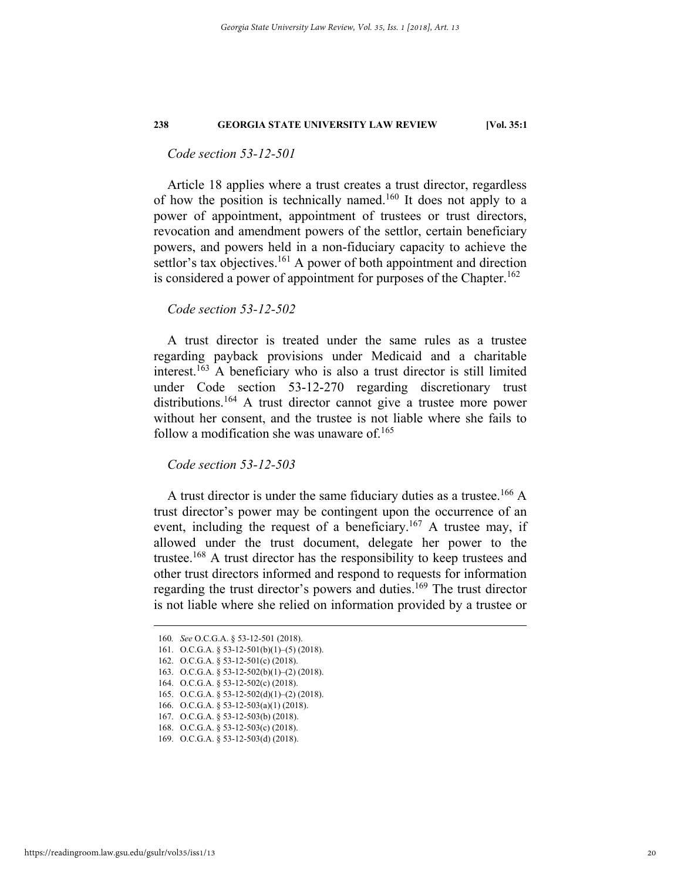#### *Code section 53-12-501*

Article 18 applies where a trust creates a trust director, regardless of how the position is technically named.160 It does not apply to a power of appointment, appointment of trustees or trust directors, revocation and amendment powers of the settlor, certain beneficiary powers, and powers held in a non-fiduciary capacity to achieve the settlor's tax objectives.<sup>161</sup> A power of both appointment and direction is considered a power of appointment for purposes of the Chapter.<sup>162</sup>

#### *Code section 53-12-502*

A trust director is treated under the same rules as a trustee regarding payback provisions under Medicaid and a charitable interest.<sup>163</sup> A beneficiary who is also a trust director is still limited under Code section 53-12-270 regarding discretionary trust distributions.<sup>164</sup> A trust director cannot give a trustee more power without her consent, and the trustee is not liable where she fails to follow a modification she was unaware of. $165$ 

*Code section 53-12-503* 

A trust director is under the same fiduciary duties as a trustee.<sup>166</sup> A trust director's power may be contingent upon the occurrence of an event, including the request of a beneficiary.<sup>167</sup> A trustee may, if allowed under the trust document, delegate her power to the trustee.168 A trust director has the responsibility to keep trustees and other trust directors informed and respond to requests for information regarding the trust director's powers and duties.169 The trust director is not liable where she relied on information provided by a trustee or

 <sup>160</sup>*. See* O.C.G.A. § 53-12-501 (2018).

<sup>161.</sup> O.C.G.A.  $\S$  53-12-501(b)(1)–(5) (2018).

 <sup>162.</sup> O.C.G.A. § 53-12-501(c) (2018).

 <sup>163.</sup> O.C.G.A. § 53-12-502(b)(1)–(2) (2018).

 <sup>164.</sup> O.C.G.A. § 53-12-502(c) (2018).

 <sup>165.</sup> O.C.G.A. § 53-12-502(d)(1)–(2) (2018).

 <sup>166.</sup> O.C.G.A. § 53-12-503(a)(1) (2018). 167. O.C.G.A. § 53-12-503(b) (2018).

 <sup>168.</sup> O.C.G.A. § 53-12-503(c) (2018).

 <sup>169.</sup> O.C.G.A. § 53-12-503(d) (2018).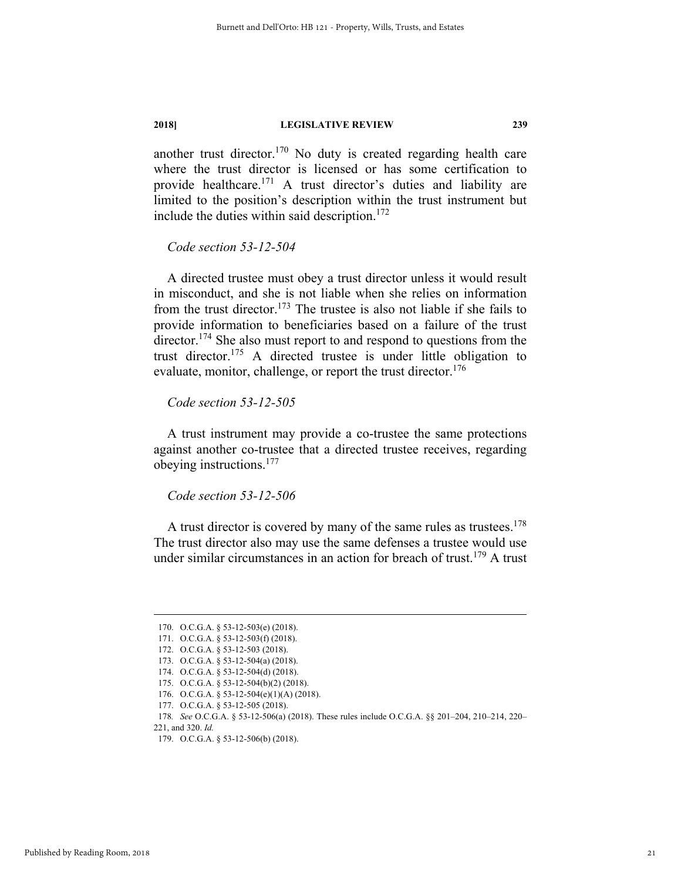another trust director.170 No duty is created regarding health care where the trust director is licensed or has some certification to provide healthcare.171 A trust director's duties and liability are limited to the position's description within the trust instrument but include the duties within said description.<sup>172</sup>

*Code section 53-12-504* 

A directed trustee must obey a trust director unless it would result in misconduct, and she is not liable when she relies on information from the trust director.<sup>173</sup> The trustee is also not liable if she fails to provide information to beneficiaries based on a failure of the trust director.<sup>174</sup> She also must report to and respond to questions from the trust director.175 A directed trustee is under little obligation to evaluate, monitor, challenge, or report the trust director.<sup>176</sup>

#### *Code section 53-12-505*

A trust instrument may provide a co-trustee the same protections against another co-trustee that a directed trustee receives, regarding obeying instructions.177

*Code section 53-12-506* 

A trust director is covered by many of the same rules as trustees.<sup>178</sup> The trust director also may use the same defenses a trustee would use under similar circumstances in an action for breach of trust.<sup>179</sup> A trust

 <sup>170.</sup> O.C.G.A. § 53-12-503(e) (2018).

 <sup>171.</sup> O.C.G.A. § 53-12-503(f) (2018).

 <sup>172.</sup> O.C.G.A. § 53-12-503 (2018).

 <sup>173.</sup> O.C.G.A. § 53-12-504(a) (2018).

 <sup>174.</sup> O.C.G.A. § 53-12-504(d) (2018).

 <sup>175.</sup> O.C.G.A. § 53-12-504(b)(2) (2018).

 <sup>176.</sup> O.C.G.A. § 53-12-504(e)(1)(A) (2018).

 <sup>177.</sup> O.C.G.A. § 53-12-505 (2018).

<sup>178</sup>*. See* O.C.G.A. § 53-12-506(a) (2018). These rules include O.C.G.A. §§ 201–204, 210–214, 220– 221, and 320. *Id.* 

 <sup>179.</sup> O.C.G.A. § 53-12-506(b) (2018).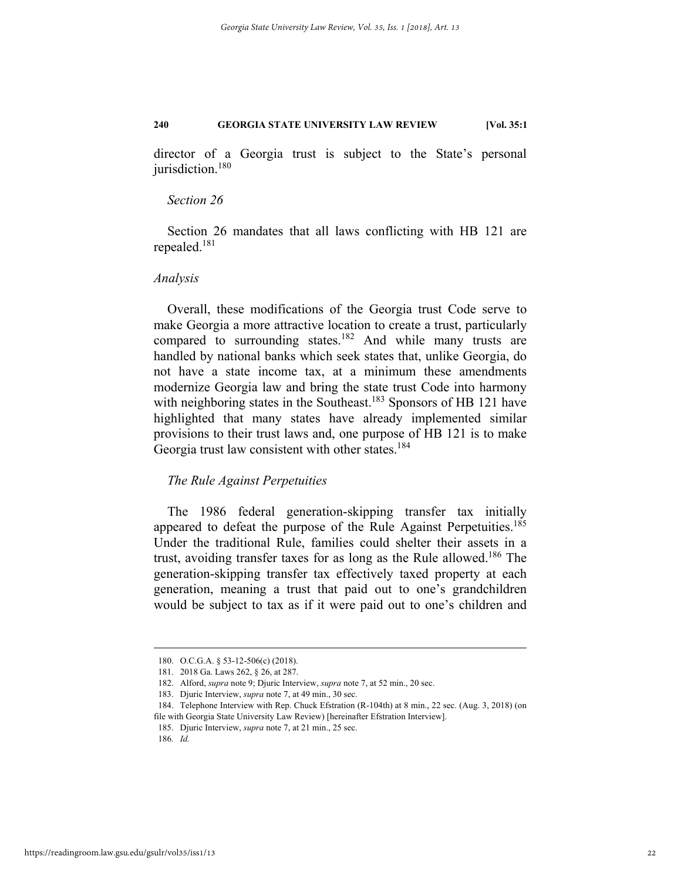director of a Georgia trust is subject to the State's personal jurisdiction.<sup>180</sup>

#### *Section 26*

Section 26 mandates that all laws conflicting with HB 121 are repealed.181

#### *Analysis*

Overall, these modifications of the Georgia trust Code serve to make Georgia a more attractive location to create a trust, particularly compared to surrounding states.<sup>182</sup> And while many trusts are handled by national banks which seek states that, unlike Georgia, do not have a state income tax, at a minimum these amendments modernize Georgia law and bring the state trust Code into harmony with neighboring states in the Southeast.<sup>183</sup> Sponsors of HB 121 have highlighted that many states have already implemented similar provisions to their trust laws and, one purpose of HB 121 is to make Georgia trust law consistent with other states.<sup>184</sup>

#### *The Rule Against Perpetuities*

The 1986 federal generation-skipping transfer tax initially appeared to defeat the purpose of the Rule Against Perpetuities.<sup>185</sup> Under the traditional Rule, families could shelter their assets in a trust, avoiding transfer taxes for as long as the Rule allowed.<sup>186</sup> The generation-skipping transfer tax effectively taxed property at each generation, meaning a trust that paid out to one's grandchildren would be subject to tax as if it were paid out to one's children and

 <sup>180.</sup> O.C.G.A. § 53-12-506(c) (2018).

 <sup>181. 2018</sup> Ga. Laws 262, § 26, at 287.

 <sup>182.</sup> Alford, *supra* note 9; Djuric Interview, *supra* note 7, at 52 min., 20 sec.

 <sup>183.</sup> Djuric Interview, *supra* note 7, at 49 min., 30 sec.

 <sup>184.</sup> Telephone Interview with Rep. Chuck Efstration (R-104th) at 8 min., 22 sec. (Aug. 3, 2018) (on file with Georgia State University Law Review) [hereinafter Efstration Interview].

 <sup>185.</sup> Djuric Interview, *supra* note 7, at 21 min., 25 sec.

<sup>186</sup>*. Id.*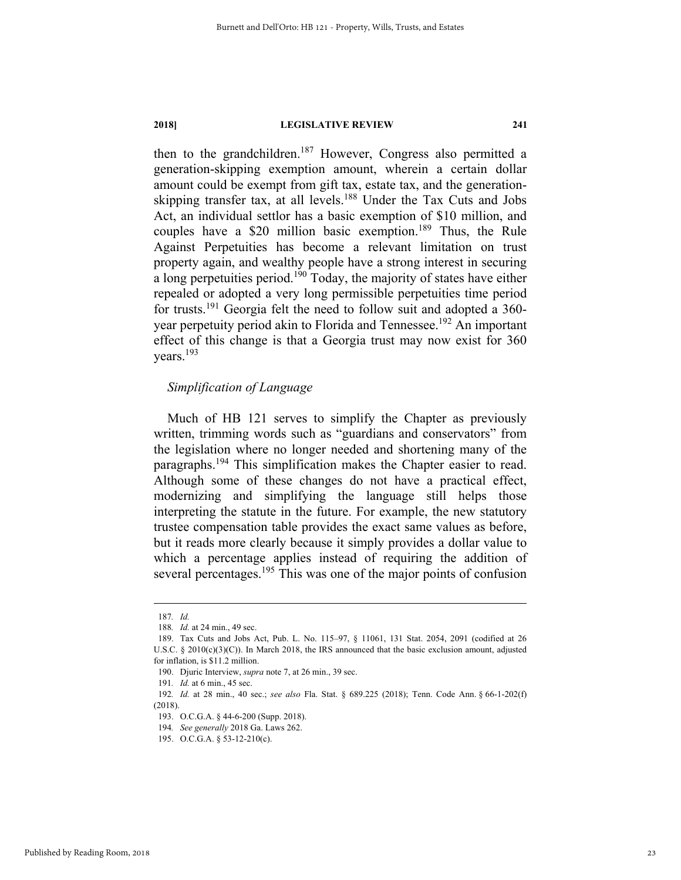then to the grandchildren.<sup>187</sup> However, Congress also permitted a generation-skipping exemption amount, wherein a certain dollar amount could be exempt from gift tax, estate tax, and the generationskipping transfer tax, at all levels.<sup>188</sup> Under the Tax Cuts and Jobs Act, an individual settlor has a basic exemption of \$10 million, and couples have a \$20 million basic exemption.<sup>189</sup> Thus, the Rule Against Perpetuities has become a relevant limitation on trust property again, and wealthy people have a strong interest in securing a long perpetuities period.<sup>190</sup> Today, the majority of states have either repealed or adopted a very long permissible perpetuities time period for trusts.191 Georgia felt the need to follow suit and adopted a 360 year perpetuity period akin to Florida and Tennessee.<sup>192</sup> An important effect of this change is that a Georgia trust may now exist for 360 years.193

#### *Simplification of Language*

Much of HB 121 serves to simplify the Chapter as previously written, trimming words such as "guardians and conservators" from the legislation where no longer needed and shortening many of the paragraphs.194 This simplification makes the Chapter easier to read. Although some of these changes do not have a practical effect, modernizing and simplifying the language still helps those interpreting the statute in the future. For example, the new statutory trustee compensation table provides the exact same values as before, but it reads more clearly because it simply provides a dollar value to which a percentage applies instead of requiring the addition of several percentages.<sup>195</sup> This was one of the major points of confusion

 <sup>187</sup>*. Id.* 

<sup>188</sup>*. Id.* at 24 min., 49 sec.

 <sup>189.</sup> Tax Cuts and Jobs Act, Pub. L. No. 115–97, § 11061, 131 Stat. 2054, 2091 (codified at 26 U.S.C.  $\S 2010(c)(3)(C)$ ). In March 2018, the IRS announced that the basic exclusion amount, adjusted for inflation, is \$11.2 million.

 <sup>190.</sup> Djuric Interview, *supra* note 7, at 26 min., 39 sec.

<sup>191</sup>*. Id.* at 6 min., 45 sec.

<sup>192</sup>*. Id.* at 28 min., 40 sec.; *see also* Fla. Stat. § 689.225 (2018); Tenn. Code Ann. § 66-1-202(f) (2018).

 <sup>193.</sup> O.C.G.A. § 44-6-200 (Supp. 2018).

<sup>194</sup>*. See generally* 2018 Ga. Laws 262.

 <sup>195.</sup> O.C.G.A. § 53-12-210(c).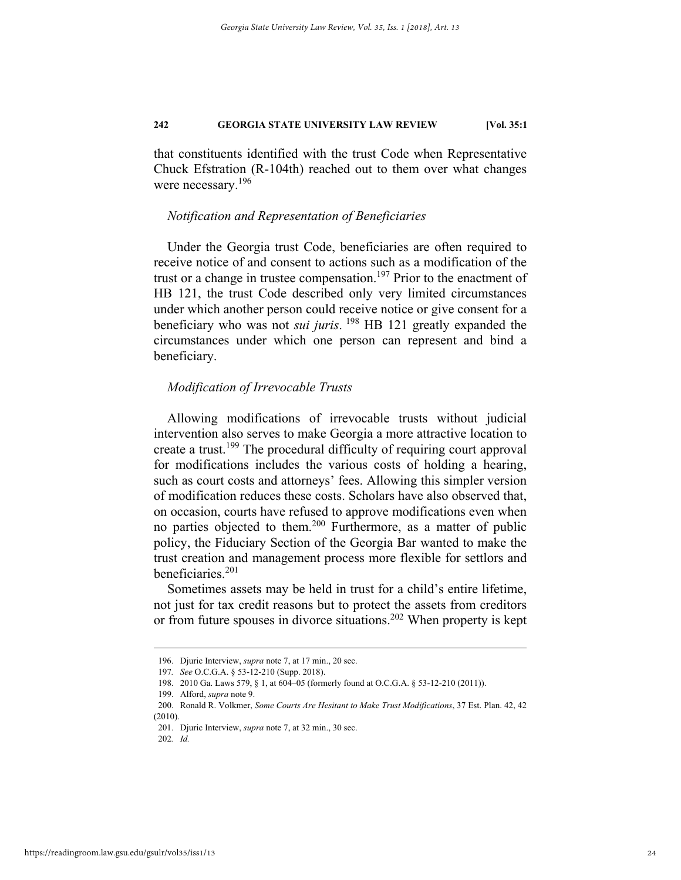that constituents identified with the trust Code when Representative Chuck Efstration (R-104th) reached out to them over what changes were necessary.<sup>196</sup>

#### *Notification and Representation of Beneficiaries*

Under the Georgia trust Code, beneficiaries are often required to receive notice of and consent to actions such as a modification of the trust or a change in trustee compensation.<sup>197</sup> Prior to the enactment of HB 121, the trust Code described only very limited circumstances under which another person could receive notice or give consent for a beneficiary who was not *sui juris*. 198 HB 121 greatly expanded the circumstances under which one person can represent and bind a beneficiary.

#### *Modification of Irrevocable Trusts*

Allowing modifications of irrevocable trusts without judicial intervention also serves to make Georgia a more attractive location to create a trust.199 The procedural difficulty of requiring court approval for modifications includes the various costs of holding a hearing, such as court costs and attorneys' fees. Allowing this simpler version of modification reduces these costs. Scholars have also observed that, on occasion, courts have refused to approve modifications even when no parties objected to them.<sup>200</sup> Furthermore, as a matter of public policy, the Fiduciary Section of the Georgia Bar wanted to make the trust creation and management process more flexible for settlors and beneficiaries.<sup>201</sup>

Sometimes assets may be held in trust for a child's entire lifetime, not just for tax credit reasons but to protect the assets from creditors or from future spouses in divorce situations.<sup>202</sup> When property is kept

 <sup>196.</sup> Djuric Interview, *supra* note 7, at 17 min., 20 sec.

<sup>197</sup>*. See* O.C.G.A. § 53-12-210 (Supp. 2018).

 <sup>198. 2010</sup> Ga. Laws 579, § 1, at 604–05 (formerly found at O.C.G.A. § 53-12-210 (2011)).

 <sup>199.</sup> Alford, *supra* note 9.

 <sup>200.</sup> Ronald R. Volkmer, *Some Courts Are Hesitant to Make Trust Modifications*, 37 Est. Plan. 42, 42 (2010).

 <sup>201.</sup> Djuric Interview, *supra* note 7, at 32 min., 30 sec.

<sup>202</sup>*. Id.*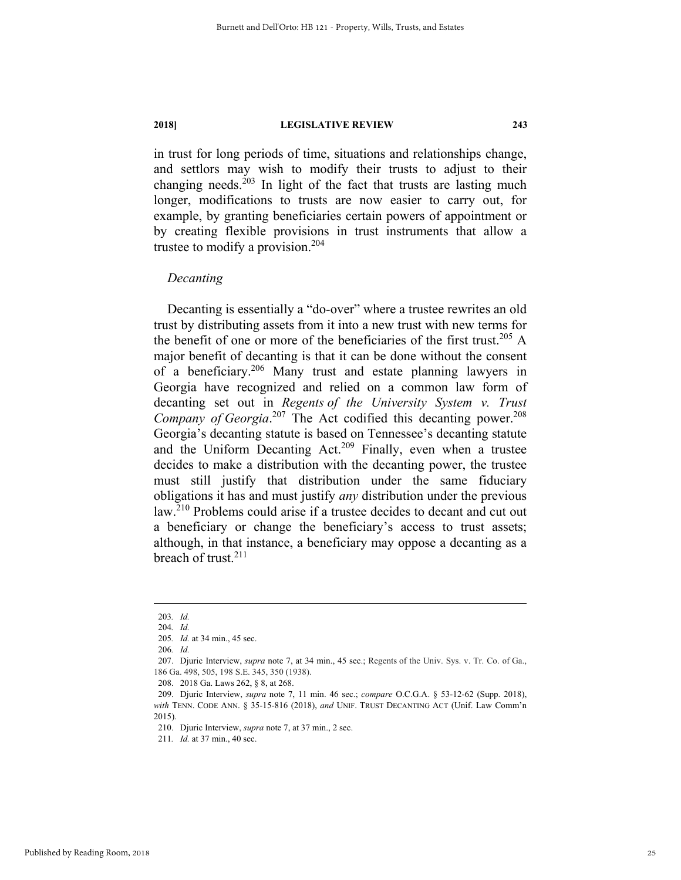in trust for long periods of time, situations and relationships change, and settlors may wish to modify their trusts to adjust to their changing needs. $203$  In light of the fact that trusts are lasting much longer, modifications to trusts are now easier to carry out, for example, by granting beneficiaries certain powers of appointment or by creating flexible provisions in trust instruments that allow a trustee to modify a provision.<sup>204</sup>

#### *Decanting*

Decanting is essentially a "do-over" where a trustee rewrites an old trust by distributing assets from it into a new trust with new terms for the benefit of one or more of the beneficiaries of the first trust.<sup>205</sup> A major benefit of decanting is that it can be done without the consent of a beneficiary.206 Many trust and estate planning lawyers in Georgia have recognized and relied on a common law form of decanting set out in *Regents of the University System v. Trust*  Company of Georgia.<sup>207</sup> The Act codified this decanting power.<sup>208</sup> Georgia's decanting statute is based on Tennessee's decanting statute and the Uniform Decanting  $Act^{209}$  Finally, even when a trustee decides to make a distribution with the decanting power, the trustee must still justify that distribution under the same fiduciary obligations it has and must justify *any* distribution under the previous law.210 Problems could arise if a trustee decides to decant and cut out a beneficiary or change the beneficiary's access to trust assets; although, in that instance, a beneficiary may oppose a decanting as a breach of trust.211

 <sup>203</sup>*. Id.*

<sup>204</sup>*. Id.*

<sup>205</sup>*. Id.* at 34 min., 45 sec.

<sup>206</sup>*. Id.* 

 <sup>207.</sup> Djuric Interview, *supra* note 7, at 34 min., 45 sec.; Regents of the Univ. Sys. v. Tr. Co. of Ga., 186 Ga. 498, 505, 198 S.E. 345, 350 (1938).

 <sup>208. 2018</sup> Ga. Laws 262, § 8, at 268.

 <sup>209.</sup> Djuric Interview, *supra* note 7, 11 min. 46 sec.; *compare* O.C.G.A. § 53-12-62 (Supp. 2018), *with* TENN. CODE ANN. § 35-15-816 (2018), *and* UNIF. TRUST DECANTING ACT (Unif. Law Comm'n 2015).

 <sup>210.</sup> Djuric Interview, *supra* note 7, at 37 min., 2 sec.

<sup>211</sup>*. Id.* at 37 min., 40 sec.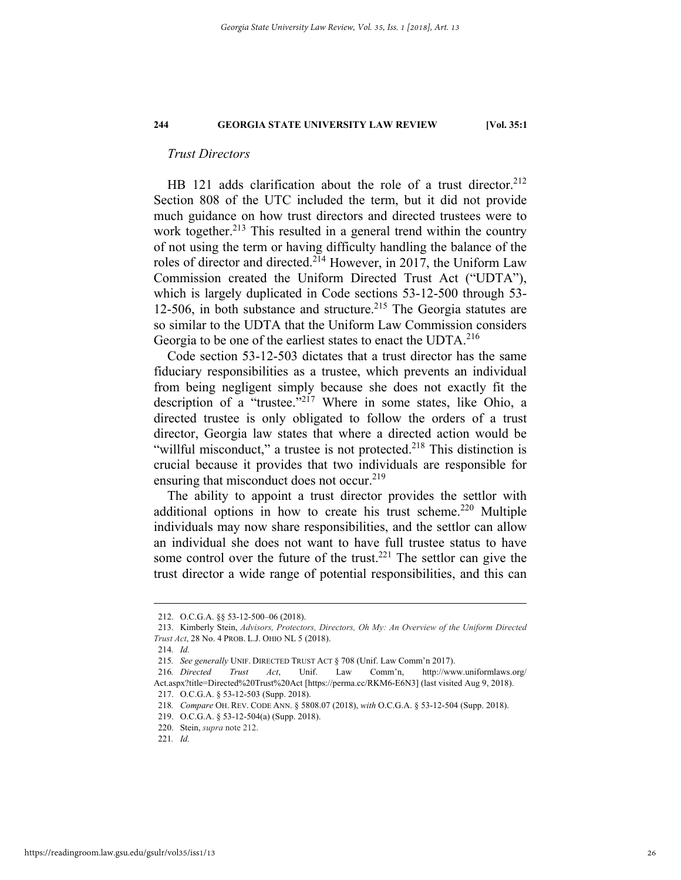#### *Trust Directors*

HB 121 adds clarification about the role of a trust director.<sup>212</sup> Section 808 of the UTC included the term, but it did not provide much guidance on how trust directors and directed trustees were to work together.<sup>213</sup> This resulted in a general trend within the country of not using the term or having difficulty handling the balance of the roles of director and directed.214 However, in 2017, the Uniform Law Commission created the Uniform Directed Trust Act ("UDTA"), which is largely duplicated in Code sections 53-12-500 through 53- 12-506, in both substance and structure.<sup>215</sup> The Georgia statutes are so similar to the UDTA that the Uniform Law Commission considers Georgia to be one of the earliest states to enact the UDTA.<sup>216</sup>

Code section 53-12-503 dictates that a trust director has the same fiduciary responsibilities as a trustee, which prevents an individual from being negligent simply because she does not exactly fit the description of a "trustee."217 Where in some states, like Ohio, a directed trustee is only obligated to follow the orders of a trust director, Georgia law states that where a directed action would be "willful misconduct," a trustee is not protected.<sup>218</sup> This distinction is crucial because it provides that two individuals are responsible for ensuring that misconduct does not occur.<sup>219</sup>

The ability to appoint a trust director provides the settlor with additional options in how to create his trust scheme.<sup>220</sup> Multiple individuals may now share responsibilities, and the settlor can allow an individual she does not want to have full trustee status to have some control over the future of the trust.<sup>221</sup> The settlor can give the trust director a wide range of potential responsibilities, and this can

 <sup>212.</sup> O.C.G.A. §§ 53-12-500–06 (2018).

 <sup>213.</sup> Kimberly Stein, *Advisors, Protectors, Directors, Oh My: An Overview of the Uniform Directed Trust Act*, 28 No. 4 PROB. L.J. OHIO NL 5 (2018).

<sup>214</sup>*. Id.*

<sup>215</sup>*. See generally* UNIF. DIRECTED TRUST ACT § 708 (Unif. Law Comm'n 2017).

<sup>216</sup>*. Directed Trust Act*, Unif. Law Comm'n, http://www.uniformlaws.org/ Act.aspx?title=Directed%20Trust%20Act [https://perma.cc/RKM6-E6N3] (last visited Aug 9, 2018). 217. O.C.G.A. § 53-12-503 (Supp. 2018).

<sup>218</sup>*. Compare* OH. REV. CODE ANN. § 5808.07 (2018), *with* O.C.G.A. § 53-12-504 (Supp. 2018).

 <sup>219.</sup> O.C.G.A. § 53-12-504(a) (Supp. 2018).

 <sup>220.</sup> Stein, *supra* note 212.

<sup>221</sup>*. Id.*